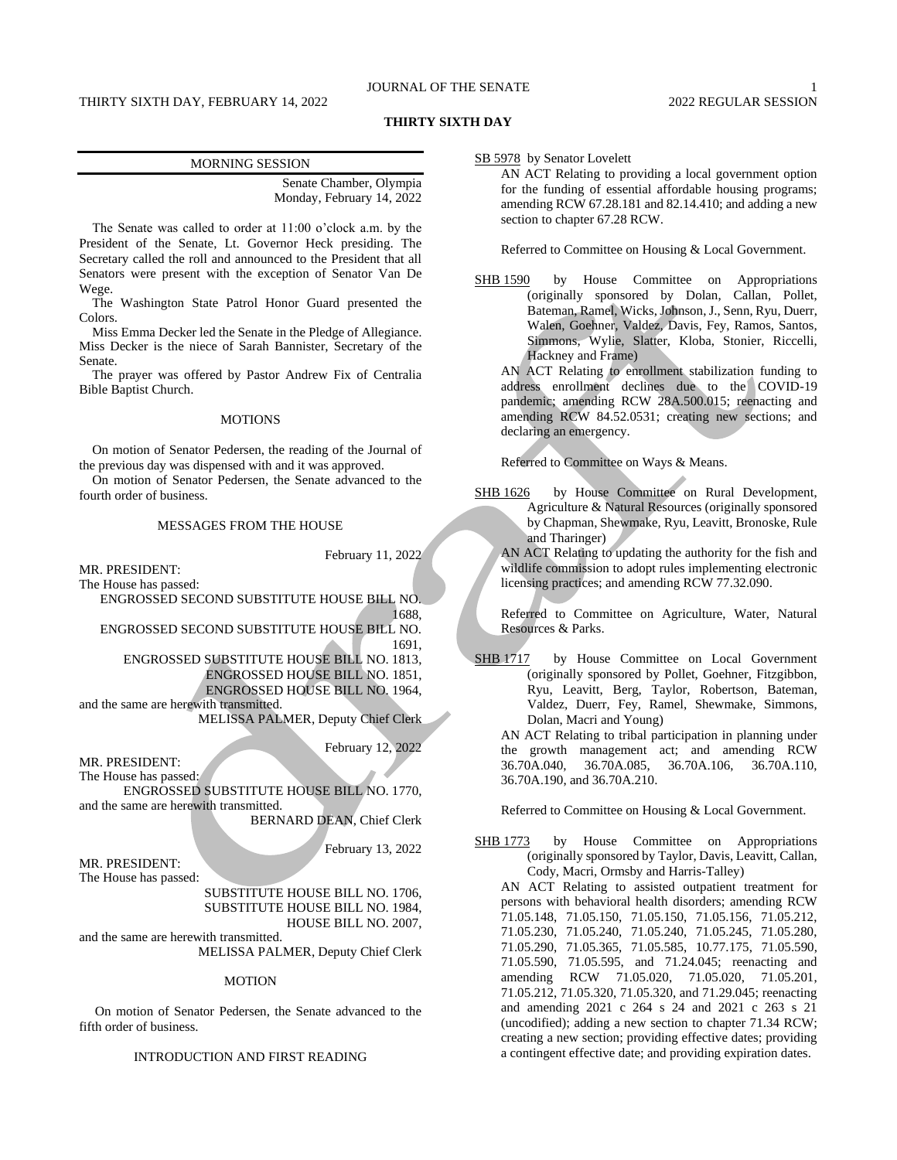## JOURNAL OF THE SENATE 1

## THIRTY SIXTH DAY, FEBRUARY 14, 2022 2022 2022 2022 REGULAR SESSION

### **THIRTY SIXTH DAY**

Senate Chamber, Olympia Monday, February 14, 2022

The Senate was called to order at 11:00 o'clock a.m. by the President of the Senate, Lt. Governor Heck presiding. The Secretary called the roll and announced to the President that all Senators were present with the exception of Senator Van De Wege.

The Washington State Patrol Honor Guard presented the Colors.

Miss Emma Decker led the Senate in the Pledge of Allegiance. Miss Decker is the niece of Sarah Bannister, Secretary of the Senate.

The prayer was offered by Pastor Andrew Fix of Centralia Bible Baptist Church.

### **MOTIONS**

On motion of Senator Pedersen, the reading of the Journal of the previous day was dispensed with and it was approved.

On motion of Senator Pedersen, the Senate advanced to the fourth order of business.

### MESSAGES FROM THE HOUSE

MR. PRESIDENT:

February 11, 2022

The House has passed:

ENGROSSED SECOND SUBSTITUTE HOUSE BILL NO. 1688,

ENGROSSED SECOND SUBSTITUTE HOUSE BILL NO. 1691,

ENGROSSED SUBSTITUTE HOUSE BILL NO. 1813,

ENGROSSED HOUSE BILL NO. 1851,

ENGROSSED HOUSE BILL NO. 1964, and the same are herewith transmitted.

MELISSA PALMER, Deputy Chief Clerk

February 12, 2022

MR. PRESIDENT: The House has passed: ENGROSSED SUBSTITUTE HOUSE BILL NO. 1770,

and the same are herewith transmitted. BERNARD DEAN, Chief Clerk

February 13, 2022

MR. PRESIDENT: The House has passed:

> SUBSTITUTE HOUSE BILL NO. 1706, SUBSTITUTE HOUSE BILL NO. 1984,

HOUSE BILL NO. 2007, and the same are herewith transmitted.

MELISSA PALMER, Deputy Chief Clerk

#### **MOTION**

On motion of Senator Pedersen, the Senate advanced to the fifth order of business.

## INTRODUCTION AND FIRST READING

SB 5978 by Senator Lovelett

AN ACT Relating to providing a local government option for the funding of essential affordable housing programs; amending RCW 67.28.181 and 82.14.410; and adding a new section to chapter 67.28 RCW.

Referred to Committee on Housing & Local Government.

SHB 1590 by House Committee on Appropriations (originally sponsored by Dolan, Callan, Pollet, Bateman, Ramel, Wicks, Johnson, J., Senn, Ryu, Duerr, Walen, Goehner, Valdez, Davis, Fey, Ramos, Santos, Simmons, Wylie, Slatter, Kloba, Stonier, Riccelli, Hackney and Frame)

AN ACT Relating to enrollment stabilization funding to address enrollment declines due to the COVID-19 pandemic; amending RCW 28A.500.015; reenacting and amending RCW 84.52.0531; creating new sections; and declaring an emergency.

Referred to Committee on Ways & Means.

SHB 1626 by House Committee on Rural Development, Agriculture & Natural Resources (originally sponsored by Chapman, Shewmake, Ryu, Leavitt, Bronoske, Rule and Tharinger)

AN ACT Relating to updating the authority for the fish and wildlife commission to adopt rules implementing electronic licensing practices; and amending RCW 77.32.090.

Referred to Committee on Agriculture, Water, Natural Resources & Parks.

SHB 1717 by House Committee on Local Government (originally sponsored by Pollet, Goehner, Fitzgibbon, Ryu, Leavitt, Berg, Taylor, Robertson, Bateman, Valdez, Duerr, Fey, Ramel, Shewmake, Simmons, Dolan, Macri and Young)

AN ACT Relating to tribal participation in planning under the growth management act; and amending RCW 36.70A.040, 36.70A.085, 36.70A.106, 36.70A.110, 36.70A.190, and 36.70A.210.

Referred to Committee on Housing & Local Government.

SHB 1773 by House Committee on Appropriations (originally sponsored by Taylor, Davis, Leavitt, Callan, Cody, Macri, Ormsby and Harris-Talley) AN ACT Relating to assisted outpatient treatment for

persons with behavioral health disorders; amending RCW 71.05.148, 71.05.150, 71.05.150, 71.05.156, 71.05.212, 71.05.230, 71.05.240, 71.05.240, 71.05.245, 71.05.280, 71.05.290, 71.05.365, 71.05.585, 10.77.175, 71.05.590, 71.05.590, 71.05.595, and 71.24.045; reenacting and amending RCW 71.05.020, 71.05.020, 71.05.201, 71.05.212, 71.05.320, 71.05.320, and 71.29.045; reenacting and amending 2021 c 264 s 24 and 2021 c 263 s 21 (uncodified); adding a new section to chapter 71.34 RCW; creating a new section; providing effective dates; providing a contingent effective date; and providing expiration dates.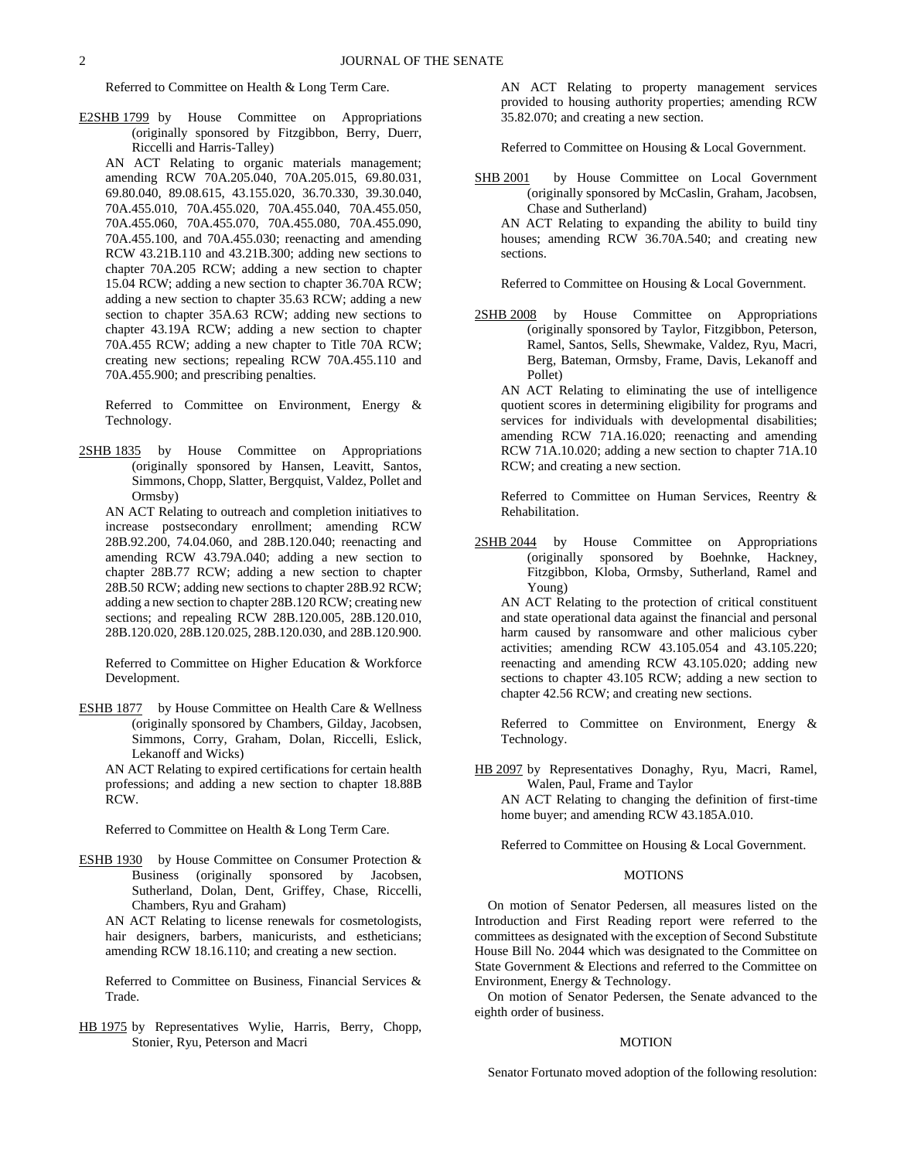Referred to Committee on Health & Long Term Care.

E2SHB 1799 by House Committee on Appropriations (originally sponsored by Fitzgibbon, Berry, Duerr, Riccelli and Harris-Talley)

AN ACT Relating to organic materials management; amending RCW 70A.205.040, 70A.205.015, 69.80.031, 69.80.040, 89.08.615, 43.155.020, 36.70.330, 39.30.040, 70A.455.010, 70A.455.020, 70A.455.040, 70A.455.050, 70A.455.060, 70A.455.070, 70A.455.080, 70A.455.090, 70A.455.100, and 70A.455.030; reenacting and amending RCW 43.21B.110 and 43.21B.300; adding new sections to chapter 70A.205 RCW; adding a new section to chapter 15.04 RCW; adding a new section to chapter 36.70A RCW; adding a new section to chapter 35.63 RCW; adding a new section to chapter 35A.63 RCW; adding new sections to chapter 43.19A RCW; adding a new section to chapter 70A.455 RCW; adding a new chapter to Title 70A RCW; creating new sections; repealing RCW 70A.455.110 and 70A.455.900; and prescribing penalties.

Referred to Committee on Environment, Energy & Technology.

2SHB 1835 by House Committee on Appropriations (originally sponsored by Hansen, Leavitt, Santos, Simmons, Chopp, Slatter, Bergquist, Valdez, Pollet and Ormsby)

AN ACT Relating to outreach and completion initiatives to increase postsecondary enrollment; amending RCW 28B.92.200, 74.04.060, and 28B.120.040; reenacting and amending RCW 43.79A.040; adding a new section to chapter 28B.77 RCW; adding a new section to chapter 28B.50 RCW; adding new sections to chapter 28B.92 RCW; adding a new section to chapter 28B.120 RCW; creating new sections; and repealing RCW 28B.120.005, 28B.120.010, 28B.120.020, 28B.120.025, 28B.120.030, and 28B.120.900.

Referred to Committee on Higher Education & Workforce Development.

ESHB 1877 by House Committee on Health Care & Wellness (originally sponsored by Chambers, Gilday, Jacobsen, Simmons, Corry, Graham, Dolan, Riccelli, Eslick, Lekanoff and Wicks)

AN ACT Relating to expired certifications for certain health professions; and adding a new section to chapter 18.88B RCW.

Referred to Committee on Health & Long Term Care.

ESHB 1930 by House Committee on Consumer Protection & Business (originally sponsored by Jacobsen, Sutherland, Dolan, Dent, Griffey, Chase, Riccelli, Chambers, Ryu and Graham)

AN ACT Relating to license renewals for cosmetologists, hair designers, barbers, manicurists, and estheticians; amending RCW 18.16.110; and creating a new section.

Referred to Committee on Business, Financial Services & Trade.

HB 1975 by Representatives Wylie, Harris, Berry, Chopp, Stonier, Ryu, Peterson and Macri

AN ACT Relating to property management services provided to housing authority properties; amending RCW 35.82.070; and creating a new section.

Referred to Committee on Housing & Local Government.

SHB 2001 by House Committee on Local Government (originally sponsored by McCaslin, Graham, Jacobsen, Chase and Sutherland) AN ACT Relating to expanding the ability to build tiny houses; amending RCW 36.70A.540; and creating new

sections.

Referred to Committee on Housing & Local Government.

2SHB 2008 by House Committee on Appropriations (originally sponsored by Taylor, Fitzgibbon, Peterson, Ramel, Santos, Sells, Shewmake, Valdez, Ryu, Macri, Berg, Bateman, Ormsby, Frame, Davis, Lekanoff and Pollet)

AN ACT Relating to eliminating the use of intelligence quotient scores in determining eligibility for programs and services for individuals with developmental disabilities; amending RCW 71A.16.020; reenacting and amending RCW 71A.10.020; adding a new section to chapter 71A.10 RCW; and creating a new section.

Referred to Committee on Human Services, Reentry & Rehabilitation.

2SHB 2044 by House Committee on Appropriations (originally sponsored by Boehnke, Hackney, Fitzgibbon, Kloba, Ormsby, Sutherland, Ramel and Young)

AN ACT Relating to the protection of critical constituent and state operational data against the financial and personal harm caused by ransomware and other malicious cyber activities; amending RCW 43.105.054 and 43.105.220; reenacting and amending RCW 43.105.020; adding new sections to chapter 43.105 RCW; adding a new section to chapter 42.56 RCW; and creating new sections.

Referred to Committee on Environment, Energy & Technology.

HB 2097 by Representatives Donaghy, Ryu, Macri, Ramel, Walen, Paul, Frame and Taylor

AN ACT Relating to changing the definition of first-time home buyer; and amending RCW 43.185A.010.

Referred to Committee on Housing & Local Government.

### MOTIONS

On motion of Senator Pedersen, all measures listed on the Introduction and First Reading report were referred to the committees as designated with the exception of Second Substitute House Bill No. 2044 which was designated to the Committee on State Government & Elections and referred to the Committee on Environment, Energy & Technology.

On motion of Senator Pedersen, the Senate advanced to the eighth order of business.

#### MOTION

Senator Fortunato moved adoption of the following resolution: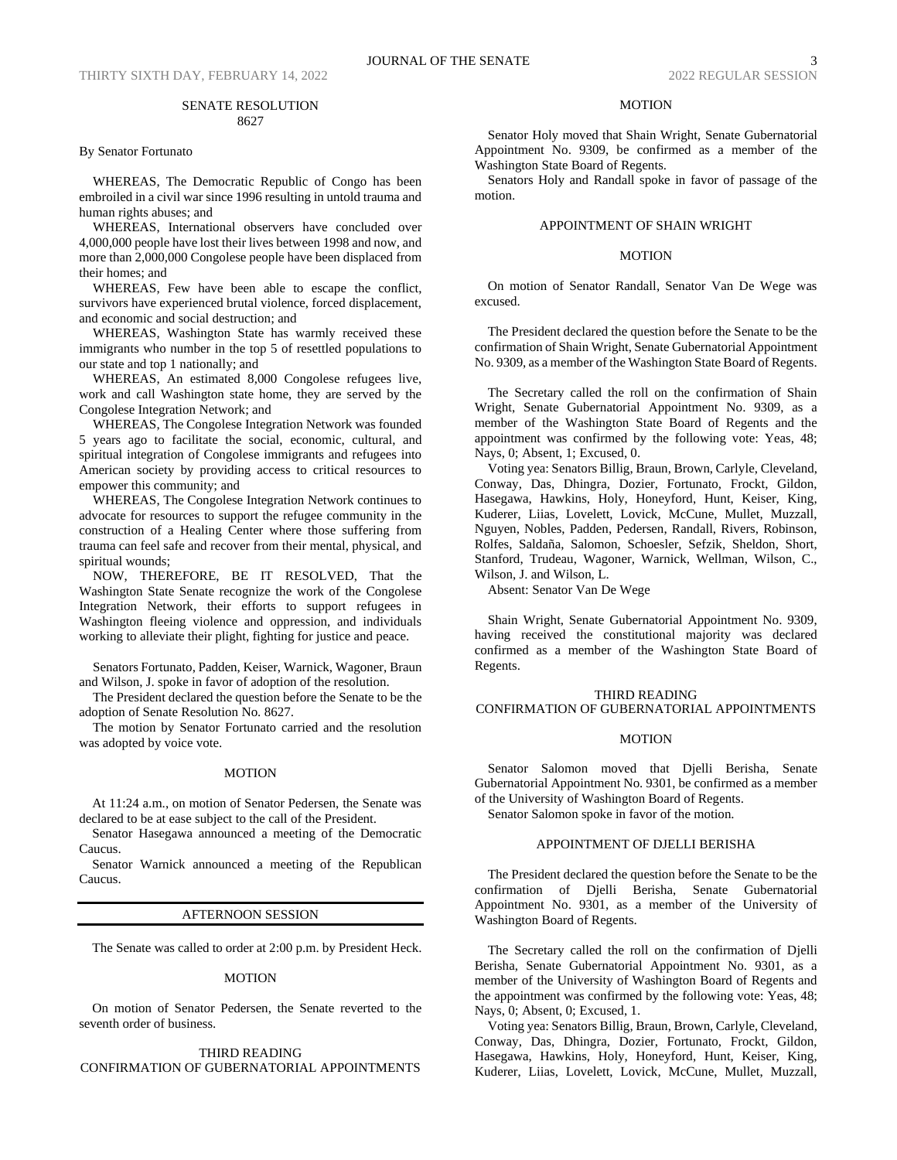By Senator Fortunato

WHEREAS, The Democratic Republic of Congo has been embroiled in a civil war since 1996 resulting in untold trauma and human rights abuses; and

WHEREAS, International observers have concluded over 4,000,000 people have lost their lives between 1998 and now, and more than 2,000,000 Congolese people have been displaced from their homes; and

WHEREAS, Few have been able to escape the conflict, survivors have experienced brutal violence, forced displacement, and economic and social destruction; and

WHEREAS, Washington State has warmly received these immigrants who number in the top 5 of resettled populations to our state and top 1 nationally; and

WHEREAS, An estimated 8,000 Congolese refugees live, work and call Washington state home, they are served by the Congolese Integration Network; and

WHEREAS, The Congolese Integration Network was founded 5 years ago to facilitate the social, economic, cultural, and spiritual integration of Congolese immigrants and refugees into American society by providing access to critical resources to empower this community; and

WHEREAS, The Congolese Integration Network continues to advocate for resources to support the refugee community in the construction of a Healing Center where those suffering from trauma can feel safe and recover from their mental, physical, and spiritual wounds;

NOW, THEREFORE, BE IT RESOLVED, That the Washington State Senate recognize the work of the Congolese Integration Network, their efforts to support refugees in Washington fleeing violence and oppression, and individuals working to alleviate their plight, fighting for justice and peace.

Senators Fortunato, Padden, Keiser, Warnick, Wagoner, Braun and Wilson, J. spoke in favor of adoption of the resolution.

The President declared the question before the Senate to be the adoption of Senate Resolution No. 8627.

The motion by Senator Fortunato carried and the resolution was adopted by voice vote.

## MOTION

At 11:24 a.m., on motion of Senator Pedersen, the Senate was declared to be at ease subject to the call of the President.

Senator Hasegawa announced a meeting of the Democratic Caucus.

Senator Warnick announced a meeting of the Republican Caucus.

#### AFTERNOON SESSION

The Senate was called to order at 2:00 p.m. by President Heck.

#### MOTION

On motion of Senator Pedersen, the Senate reverted to the seventh order of business.

### THIRD READING CONFIRMATION OF GUBERNATORIAL APPOINTMENTS

## MOTION

Senator Holy moved that Shain Wright, Senate Gubernatorial Appointment No. 9309, be confirmed as a member of the Washington State Board of Regents.

Senators Holy and Randall spoke in favor of passage of the motion.

## APPOINTMENT OF SHAIN WRIGHT

### MOTION

On motion of Senator Randall, Senator Van De Wege was excused.

The President declared the question before the Senate to be the confirmation of Shain Wright, Senate Gubernatorial Appointment No. 9309, as a member of the Washington State Board of Regents.

The Secretary called the roll on the confirmation of Shain Wright, Senate Gubernatorial Appointment No. 9309, as a member of the Washington State Board of Regents and the appointment was confirmed by the following vote: Yeas, 48; Nays, 0; Absent, 1; Excused, 0.

Voting yea: Senators Billig, Braun, Brown, Carlyle, Cleveland, Conway, Das, Dhingra, Dozier, Fortunato, Frockt, Gildon, Hasegawa, Hawkins, Holy, Honeyford, Hunt, Keiser, King, Kuderer, Liias, Lovelett, Lovick, McCune, Mullet, Muzzall, Nguyen, Nobles, Padden, Pedersen, Randall, Rivers, Robinson, Rolfes, Saldaña, Salomon, Schoesler, Sefzik, Sheldon, Short, Stanford, Trudeau, Wagoner, Warnick, Wellman, Wilson, C., Wilson, J. and Wilson, L.

Absent: Senator Van De Wege

Shain Wright, Senate Gubernatorial Appointment No. 9309, having received the constitutional majority was declared confirmed as a member of the Washington State Board of Regents.

## THIRD READING CONFIRMATION OF GUBERNATORIAL APPOINTMENTS

### MOTION

Senator Salomon moved that Djelli Berisha, Senate Gubernatorial Appointment No. 9301, be confirmed as a member of the University of Washington Board of Regents.

Senator Salomon spoke in favor of the motion.

## APPOINTMENT OF DJELLI BERISHA

The President declared the question before the Senate to be the confirmation of Djelli Berisha, Senate Gubernatorial Appointment No. 9301, as a member of the University of Washington Board of Regents.

The Secretary called the roll on the confirmation of Djelli Berisha, Senate Gubernatorial Appointment No. 9301, as a member of the University of Washington Board of Regents and the appointment was confirmed by the following vote: Yeas, 48; Nays, 0; Absent, 0; Excused, 1.

Voting yea: Senators Billig, Braun, Brown, Carlyle, Cleveland, Conway, Das, Dhingra, Dozier, Fortunato, Frockt, Gildon, Hasegawa, Hawkins, Holy, Honeyford, Hunt, Keiser, King, Kuderer, Liias, Lovelett, Lovick, McCune, Mullet, Muzzall,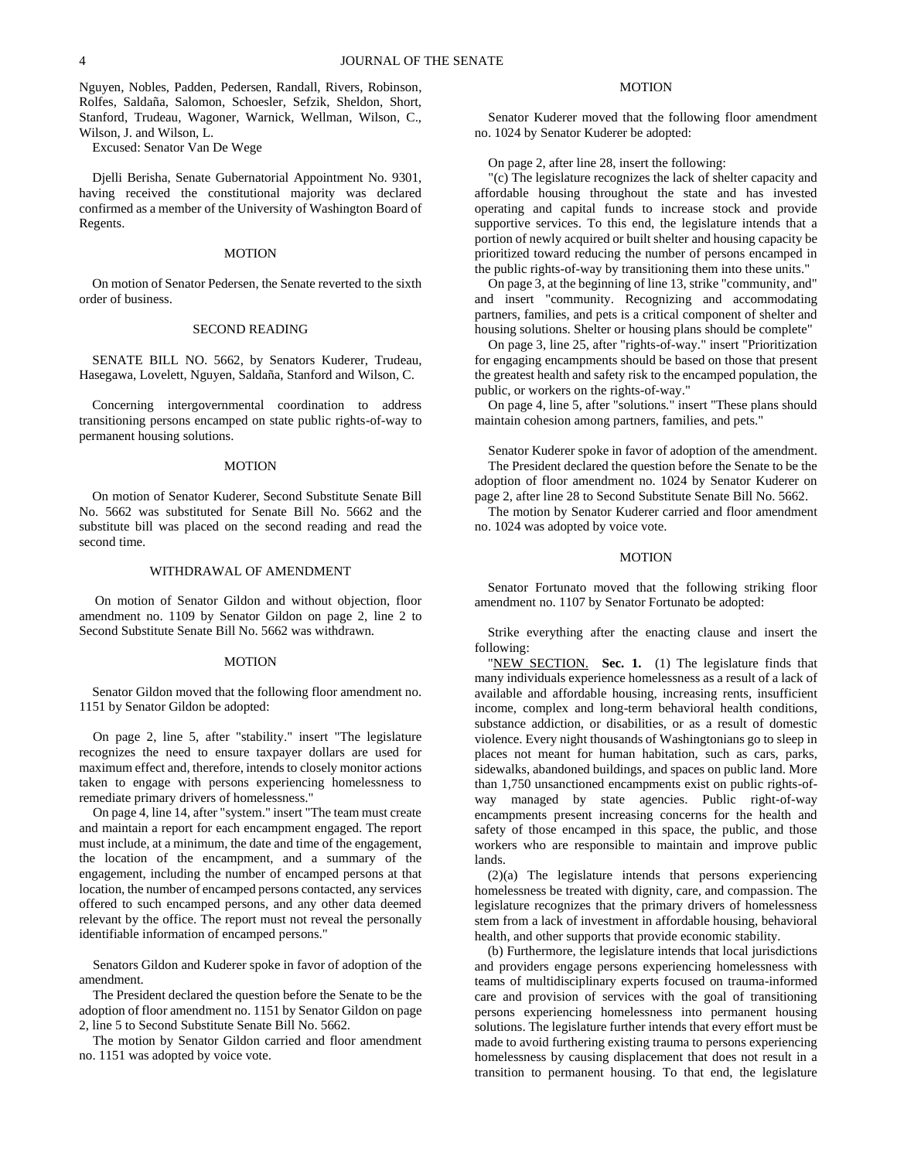Nguyen, Nobles, Padden, Pedersen, Randall, Rivers, Robinson, Rolfes, Saldaña, Salomon, Schoesler, Sefzik, Sheldon, Short, Stanford, Trudeau, Wagoner, Warnick, Wellman, Wilson, C., Wilson, J. and Wilson, L.

Excused: Senator Van De Wege

Djelli Berisha, Senate Gubernatorial Appointment No. 9301, having received the constitutional majority was declared confirmed as a member of the University of Washington Board of Regents.

#### MOTION

On motion of Senator Pedersen, the Senate reverted to the sixth order of business.

### SECOND READING

SENATE BILL NO. 5662, by Senators Kuderer, Trudeau, Hasegawa, Lovelett, Nguyen, Saldaña, Stanford and Wilson, C.

Concerning intergovernmental coordination to address transitioning persons encamped on state public rights-of-way to permanent housing solutions.

#### MOTION

On motion of Senator Kuderer, Second Substitute Senate Bill No. 5662 was substituted for Senate Bill No. 5662 and the substitute bill was placed on the second reading and read the second time.

### WITHDRAWAL OF AMENDMENT

On motion of Senator Gildon and without objection, floor amendment no. 1109 by Senator Gildon on page 2, line 2 to Second Substitute Senate Bill No. 5662 was withdrawn.

### **MOTION**

Senator Gildon moved that the following floor amendment no. 1151 by Senator Gildon be adopted:

On page 2, line 5, after "stability." insert "The legislature recognizes the need to ensure taxpayer dollars are used for maximum effect and, therefore, intends to closely monitor actions taken to engage with persons experiencing homelessness to remediate primary drivers of homelessness."

On page 4, line 14, after "system." insert "The team must create and maintain a report for each encampment engaged. The report must include, at a minimum, the date and time of the engagement, the location of the encampment, and a summary of the engagement, including the number of encamped persons at that location, the number of encamped persons contacted, any services offered to such encamped persons, and any other data deemed relevant by the office. The report must not reveal the personally identifiable information of encamped persons."

Senators Gildon and Kuderer spoke in favor of adoption of the amendment.

The President declared the question before the Senate to be the adoption of floor amendment no. 1151 by Senator Gildon on page 2, line 5 to Second Substitute Senate Bill No. 5662.

The motion by Senator Gildon carried and floor amendment no. 1151 was adopted by voice vote.

## MOTION

Senator Kuderer moved that the following floor amendment no. 1024 by Senator Kuderer be adopted:

On page 2, after line 28, insert the following:

"(c) The legislature recognizes the lack of shelter capacity and affordable housing throughout the state and has invested operating and capital funds to increase stock and provide supportive services. To this end, the legislature intends that a portion of newly acquired or built shelter and housing capacity be prioritized toward reducing the number of persons encamped in the public rights-of-way by transitioning them into these units."

On page 3, at the beginning of line 13, strike "community, and" and insert "community. Recognizing and accommodating partners, families, and pets is a critical component of shelter and housing solutions. Shelter or housing plans should be complete"

On page 3, line 25, after "rights-of-way." insert "Prioritization for engaging encampments should be based on those that present the greatest health and safety risk to the encamped population, the public, or workers on the rights-of-way."

On page 4, line 5, after "solutions." insert "These plans should maintain cohesion among partners, families, and pets."

Senator Kuderer spoke in favor of adoption of the amendment.

The President declared the question before the Senate to be the adoption of floor amendment no. 1024 by Senator Kuderer on page 2, after line 28 to Second Substitute Senate Bill No. 5662.

The motion by Senator Kuderer carried and floor amendment no. 1024 was adopted by voice vote.

### MOTION

Senator Fortunato moved that the following striking floor amendment no. 1107 by Senator Fortunato be adopted:

Strike everything after the enacting clause and insert the following:

"NEW SECTION. **Sec. 1.** (1) The legislature finds that many individuals experience homelessness as a result of a lack of available and affordable housing, increasing rents, insufficient income, complex and long-term behavioral health conditions, substance addiction, or disabilities, or as a result of domestic violence. Every night thousands of Washingtonians go to sleep in places not meant for human habitation, such as cars, parks, sidewalks, abandoned buildings, and spaces on public land. More than 1,750 unsanctioned encampments exist on public rights-ofway managed by state agencies. Public right-of-way encampments present increasing concerns for the health and safety of those encamped in this space, the public, and those workers who are responsible to maintain and improve public lands.

(2)(a) The legislature intends that persons experiencing homelessness be treated with dignity, care, and compassion. The legislature recognizes that the primary drivers of homelessness stem from a lack of investment in affordable housing, behavioral health, and other supports that provide economic stability.

(b) Furthermore, the legislature intends that local jurisdictions and providers engage persons experiencing homelessness with teams of multidisciplinary experts focused on trauma-informed care and provision of services with the goal of transitioning persons experiencing homelessness into permanent housing solutions. The legislature further intends that every effort must be made to avoid furthering existing trauma to persons experiencing homelessness by causing displacement that does not result in a transition to permanent housing. To that end, the legislature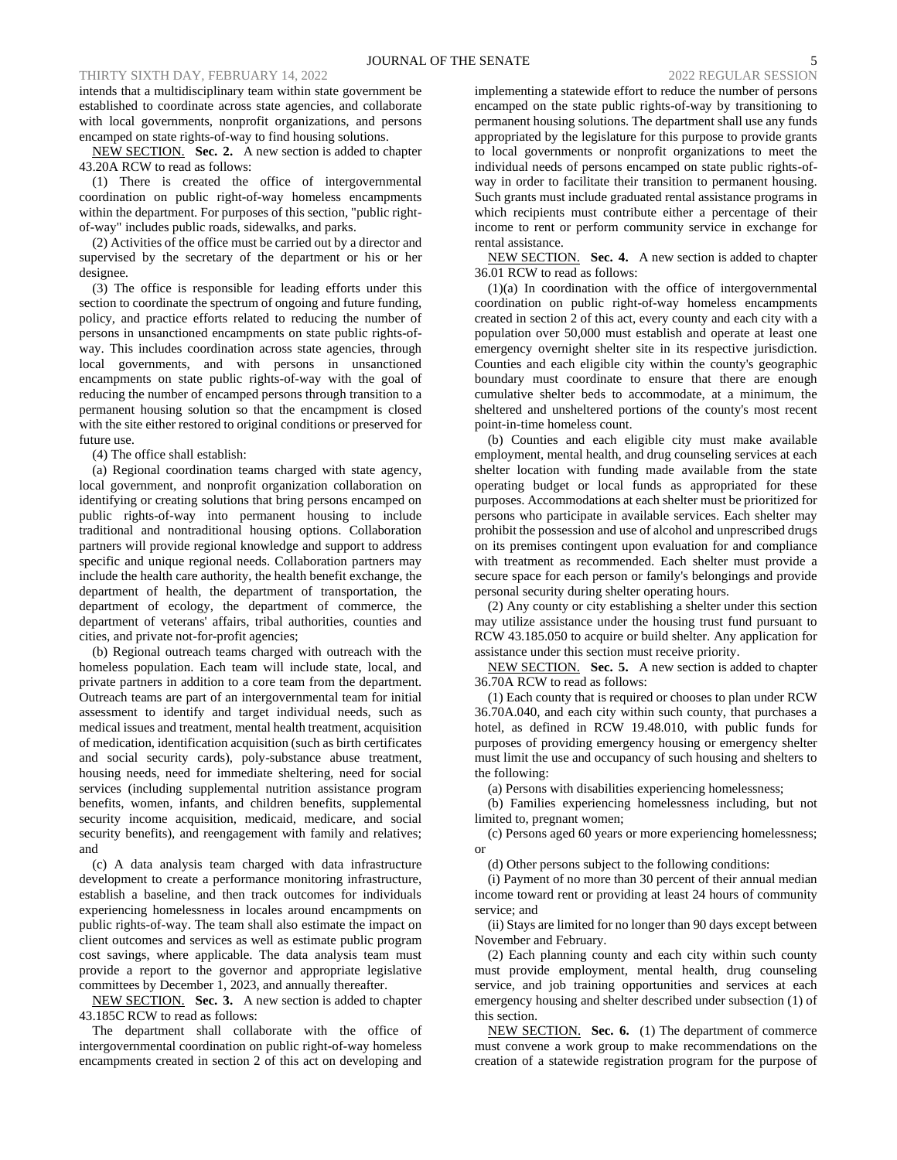intends that a multidisciplinary team within state government be established to coordinate across state agencies, and collaborate with local governments, nonprofit organizations, and persons encamped on state rights-of-way to find housing solutions.

NEW SECTION. **Sec. 2.** A new section is added to chapter 43.20A RCW to read as follows:

(1) There is created the office of intergovernmental coordination on public right-of-way homeless encampments within the department. For purposes of this section, "public rightof-way" includes public roads, sidewalks, and parks.

(2) Activities of the office must be carried out by a director and supervised by the secretary of the department or his or her designee.

(3) The office is responsible for leading efforts under this section to coordinate the spectrum of ongoing and future funding, policy, and practice efforts related to reducing the number of persons in unsanctioned encampments on state public rights-ofway. This includes coordination across state agencies, through local governments, and with persons in unsanctioned encampments on state public rights-of-way with the goal of reducing the number of encamped persons through transition to a permanent housing solution so that the encampment is closed with the site either restored to original conditions or preserved for future use.

(4) The office shall establish:

(a) Regional coordination teams charged with state agency, local government, and nonprofit organization collaboration on identifying or creating solutions that bring persons encamped on public rights-of-way into permanent housing to include traditional and nontraditional housing options. Collaboration partners will provide regional knowledge and support to address specific and unique regional needs. Collaboration partners may include the health care authority, the health benefit exchange, the department of health, the department of transportation, the department of ecology, the department of commerce, the department of veterans' affairs, tribal authorities, counties and cities, and private not-for-profit agencies;

(b) Regional outreach teams charged with outreach with the homeless population. Each team will include state, local, and private partners in addition to a core team from the department. Outreach teams are part of an intergovernmental team for initial assessment to identify and target individual needs, such as medical issues and treatment, mental health treatment, acquisition of medication, identification acquisition (such as birth certificates and social security cards), poly-substance abuse treatment, housing needs, need for immediate sheltering, need for social services (including supplemental nutrition assistance program benefits, women, infants, and children benefits, supplemental security income acquisition, medicaid, medicare, and social security benefits), and reengagement with family and relatives; and

(c) A data analysis team charged with data infrastructure development to create a performance monitoring infrastructure, establish a baseline, and then track outcomes for individuals experiencing homelessness in locales around encampments on public rights-of-way. The team shall also estimate the impact on client outcomes and services as well as estimate public program cost savings, where applicable. The data analysis team must provide a report to the governor and appropriate legislative committees by December 1, 2023, and annually thereafter.

NEW SECTION. **Sec. 3.** A new section is added to chapter 43.185C RCW to read as follows:

The department shall collaborate with the office of intergovernmental coordination on public right-of-way homeless encampments created in section 2 of this act on developing and implementing a statewide effort to reduce the number of persons encamped on the state public rights-of-way by transitioning to permanent housing solutions. The department shall use any funds appropriated by the legislature for this purpose to provide grants to local governments or nonprofit organizations to meet the individual needs of persons encamped on state public rights-ofway in order to facilitate their transition to permanent housing. Such grants must include graduated rental assistance programs in which recipients must contribute either a percentage of their income to rent or perform community service in exchange for rental assistance.

NEW SECTION. **Sec. 4.** A new section is added to chapter 36.01 RCW to read as follows:

(1)(a) In coordination with the office of intergovernmental coordination on public right-of-way homeless encampments created in section 2 of this act, every county and each city with a population over 50,000 must establish and operate at least one emergency overnight shelter site in its respective jurisdiction. Counties and each eligible city within the county's geographic boundary must coordinate to ensure that there are enough cumulative shelter beds to accommodate, at a minimum, the sheltered and unsheltered portions of the county's most recent point-in-time homeless count.

(b) Counties and each eligible city must make available employment, mental health, and drug counseling services at each shelter location with funding made available from the state operating budget or local funds as appropriated for these purposes. Accommodations at each shelter must be prioritized for persons who participate in available services. Each shelter may prohibit the possession and use of alcohol and unprescribed drugs on its premises contingent upon evaluation for and compliance with treatment as recommended. Each shelter must provide a secure space for each person or family's belongings and provide personal security during shelter operating hours.

(2) Any county or city establishing a shelter under this section may utilize assistance under the housing trust fund pursuant to RCW 43.185.050 to acquire or build shelter. Any application for assistance under this section must receive priority.

NEW SECTION. **Sec. 5.** A new section is added to chapter 36.70A RCW to read as follows:

(1) Each county that is required or chooses to plan under RCW 36.70A.040, and each city within such county, that purchases a hotel, as defined in RCW 19.48.010, with public funds for purposes of providing emergency housing or emergency shelter must limit the use and occupancy of such housing and shelters to the following:

(a) Persons with disabilities experiencing homelessness;

(b) Families experiencing homelessness including, but not limited to, pregnant women;

(c) Persons aged 60 years or more experiencing homelessness; or

(d) Other persons subject to the following conditions:

(i) Payment of no more than 30 percent of their annual median income toward rent or providing at least 24 hours of community service; and

(ii) Stays are limited for no longer than 90 days except between November and February.

(2) Each planning county and each city within such county must provide employment, mental health, drug counseling service, and job training opportunities and services at each emergency housing and shelter described under subsection (1) of this section.

NEW SECTION. **Sec. 6.** (1) The department of commerce must convene a work group to make recommendations on the creation of a statewide registration program for the purpose of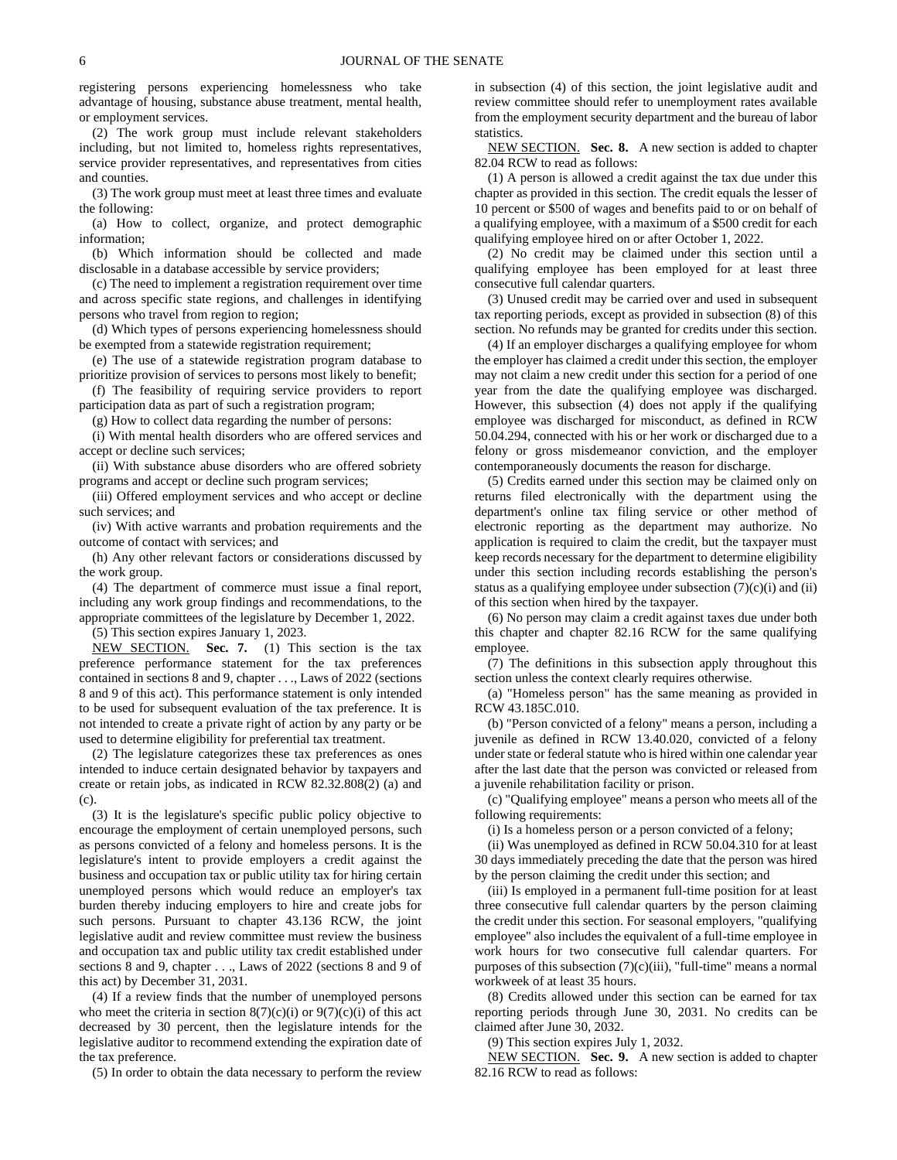registering persons experiencing homelessness who take advantage of housing, substance abuse treatment, mental health, or employment services.

(2) The work group must include relevant stakeholders including, but not limited to, homeless rights representatives, service provider representatives, and representatives from cities and counties.

(3) The work group must meet at least three times and evaluate the following:

(a) How to collect, organize, and protect demographic information;

(b) Which information should be collected and made disclosable in a database accessible by service providers;

(c) The need to implement a registration requirement over time and across specific state regions, and challenges in identifying persons who travel from region to region;

(d) Which types of persons experiencing homelessness should be exempted from a statewide registration requirement;

(e) The use of a statewide registration program database to prioritize provision of services to persons most likely to benefit;

(f) The feasibility of requiring service providers to report participation data as part of such a registration program;

(g) How to collect data regarding the number of persons:

(i) With mental health disorders who are offered services and accept or decline such services;

(ii) With substance abuse disorders who are offered sobriety programs and accept or decline such program services;

(iii) Offered employment services and who accept or decline such services; and

(iv) With active warrants and probation requirements and the outcome of contact with services; and

(h) Any other relevant factors or considerations discussed by the work group.

(4) The department of commerce must issue a final report, including any work group findings and recommendations, to the appropriate committees of the legislature by December 1, 2022.

(5) This section expires January 1, 2023.

NEW SECTION. **Sec. 7.** (1) This section is the tax preference performance statement for the tax preferences contained in sections 8 and 9, chapter . . ., Laws of 2022 (sections 8 and 9 of this act). This performance statement is only intended to be used for subsequent evaluation of the tax preference. It is not intended to create a private right of action by any party or be used to determine eligibility for preferential tax treatment.

(2) The legislature categorizes these tax preferences as ones intended to induce certain designated behavior by taxpayers and create or retain jobs, as indicated in RCW 82.32.808(2) (a) and (c).

(3) It is the legislature's specific public policy objective to encourage the employment of certain unemployed persons, such as persons convicted of a felony and homeless persons. It is the legislature's intent to provide employers a credit against the business and occupation tax or public utility tax for hiring certain unemployed persons which would reduce an employer's tax burden thereby inducing employers to hire and create jobs for such persons. Pursuant to chapter 43.136 RCW, the joint legislative audit and review committee must review the business and occupation tax and public utility tax credit established under sections 8 and 9, chapter . . ., Laws of 2022 (sections 8 and 9 of this act) by December 31, 2031.

(4) If a review finds that the number of unemployed persons who meet the criteria in section  $8(7)(c)(i)$  or  $9(7)(c)(i)$  of this act decreased by 30 percent, then the legislature intends for the legislative auditor to recommend extending the expiration date of the tax preference.

(5) In order to obtain the data necessary to perform the review

in subsection (4) of this section, the joint legislative audit and review committee should refer to unemployment rates available from the employment security department and the bureau of labor statistics.

NEW SECTION. **Sec. 8.** A new section is added to chapter 82.04 RCW to read as follows:

(1) A person is allowed a credit against the tax due under this chapter as provided in this section. The credit equals the lesser of 10 percent or \$500 of wages and benefits paid to or on behalf of a qualifying employee, with a maximum of a \$500 credit for each qualifying employee hired on or after October 1, 2022.

(2) No credit may be claimed under this section until a qualifying employee has been employed for at least three consecutive full calendar quarters.

(3) Unused credit may be carried over and used in subsequent tax reporting periods, except as provided in subsection (8) of this section. No refunds may be granted for credits under this section.

(4) If an employer discharges a qualifying employee for whom the employer has claimed a credit under this section, the employer may not claim a new credit under this section for a period of one year from the date the qualifying employee was discharged. However, this subsection (4) does not apply if the qualifying employee was discharged for misconduct, as defined in RCW 50.04.294, connected with his or her work or discharged due to a felony or gross misdemeanor conviction, and the employer contemporaneously documents the reason for discharge.

(5) Credits earned under this section may be claimed only on returns filed electronically with the department using the department's online tax filing service or other method of electronic reporting as the department may authorize. No application is required to claim the credit, but the taxpayer must keep records necessary for the department to determine eligibility under this section including records establishing the person's status as a qualifying employee under subsection  $(7)(c)(i)$  and  $(ii)$ of this section when hired by the taxpayer.

(6) No person may claim a credit against taxes due under both this chapter and chapter 82.16 RCW for the same qualifying employee.

(7) The definitions in this subsection apply throughout this section unless the context clearly requires otherwise.

(a) "Homeless person" has the same meaning as provided in RCW 43.185C.010.

(b) "Person convicted of a felony" means a person, including a juvenile as defined in RCW 13.40.020, convicted of a felony under state or federal statute who is hired within one calendar year after the last date that the person was convicted or released from a juvenile rehabilitation facility or prison.

(c) "Qualifying employee" means a person who meets all of the following requirements:

(i) Is a homeless person or a person convicted of a felony;

(ii) Was unemployed as defined in RCW 50.04.310 for at least 30 days immediately preceding the date that the person was hired by the person claiming the credit under this section; and

(iii) Is employed in a permanent full-time position for at least three consecutive full calendar quarters by the person claiming the credit under this section. For seasonal employers, "qualifying employee" also includes the equivalent of a full-time employee in work hours for two consecutive full calendar quarters. For purposes of this subsection  $(7)(c)(iii)$ , "full-time" means a normal workweek of at least 35 hours.

(8) Credits allowed under this section can be earned for tax reporting periods through June 30, 2031. No credits can be claimed after June 30, 2032.

(9) This section expires July 1, 2032.

NEW SECTION. **Sec. 9.** A new section is added to chapter 82.16 RCW to read as follows: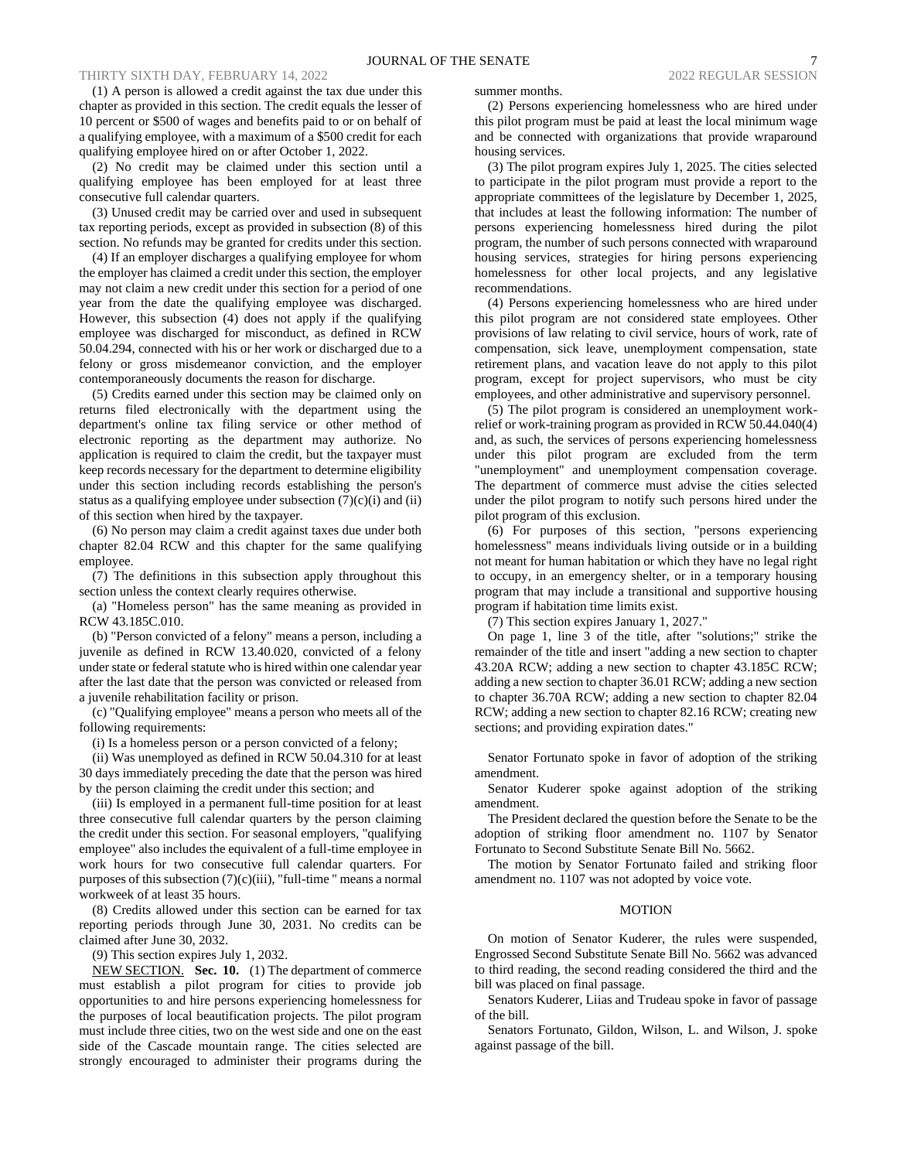(1) A person is allowed a credit against the tax due under this chapter as provided in this section. The credit equals the lesser of 10 percent or \$500 of wages and benefits paid to or on behalf of a qualifying employee, with a maximum of a \$500 credit for each qualifying employee hired on or after October 1, 2022.

(2) No credit may be claimed under this section until a qualifying employee has been employed for at least three consecutive full calendar quarters.

(3) Unused credit may be carried over and used in subsequent tax reporting periods, except as provided in subsection (8) of this section. No refunds may be granted for credits under this section.

(4) If an employer discharges a qualifying employee for whom the employer has claimed a credit under this section, the employer may not claim a new credit under this section for a period of one year from the date the qualifying employee was discharged. However, this subsection (4) does not apply if the qualifying employee was discharged for misconduct, as defined in RCW 50.04.294, connected with his or her work or discharged due to a felony or gross misdemeanor conviction, and the employer contemporaneously documents the reason for discharge.

(5) Credits earned under this section may be claimed only on returns filed electronically with the department using the department's online tax filing service or other method of electronic reporting as the department may authorize. No application is required to claim the credit, but the taxpayer must keep records necessary for the department to determine eligibility under this section including records establishing the person's status as a qualifying employee under subsection  $(7)(c)(i)$  and  $(ii)$ of this section when hired by the taxpayer.

(6) No person may claim a credit against taxes due under both chapter 82.04 RCW and this chapter for the same qualifying employee.

(7) The definitions in this subsection apply throughout this section unless the context clearly requires otherwise.

(a) "Homeless person" has the same meaning as provided in RCW 43.185C.010.

(b) "Person convicted of a felony" means a person, including a juvenile as defined in RCW 13.40.020, convicted of a felony under state or federal statute who is hired within one calendar year after the last date that the person was convicted or released from a juvenile rehabilitation facility or prison.

(c) "Qualifying employee" means a person who meets all of the following requirements:

(i) Is a homeless person or a person convicted of a felony;

(ii) Was unemployed as defined in RCW 50.04.310 for at least 30 days immediately preceding the date that the person was hired by the person claiming the credit under this section; and

(iii) Is employed in a permanent full-time position for at least three consecutive full calendar quarters by the person claiming the credit under this section. For seasonal employers, "qualifying employee" also includes the equivalent of a full-time employee in work hours for two consecutive full calendar quarters. For purposes of this subsection  $(7)(c)(iii)$ , "full-time " means a normal workweek of at least 35 hours.

(8) Credits allowed under this section can be earned for tax reporting periods through June 30, 2031. No credits can be claimed after June 30, 2032.

(9) This section expires July 1, 2032.

NEW SECTION. **Sec. 10.** (1) The department of commerce must establish a pilot program for cities to provide job opportunities to and hire persons experiencing homelessness for the purposes of local beautification projects. The pilot program must include three cities, two on the west side and one on the east side of the Cascade mountain range. The cities selected are strongly encouraged to administer their programs during the summer months.

(2) Persons experiencing homelessness who are hired under this pilot program must be paid at least the local minimum wage and be connected with organizations that provide wraparound housing services.

(3) The pilot program expires July 1, 2025. The cities selected to participate in the pilot program must provide a report to the appropriate committees of the legislature by December 1, 2025, that includes at least the following information: The number of persons experiencing homelessness hired during the pilot program, the number of such persons connected with wraparound housing services, strategies for hiring persons experiencing homelessness for other local projects, and any legislative recommendations.

(4) Persons experiencing homelessness who are hired under this pilot program are not considered state employees. Other provisions of law relating to civil service, hours of work, rate of compensation, sick leave, unemployment compensation, state retirement plans, and vacation leave do not apply to this pilot program, except for project supervisors, who must be city employees, and other administrative and supervisory personnel.

(5) The pilot program is considered an unemployment workrelief or work-training program as provided in RCW 50.44.040(4) and, as such, the services of persons experiencing homelessness under this pilot program are excluded from the term "unemployment" and unemployment compensation coverage. The department of commerce must advise the cities selected under the pilot program to notify such persons hired under the pilot program of this exclusion.

(6) For purposes of this section, "persons experiencing homelessness" means individuals living outside or in a building not meant for human habitation or which they have no legal right to occupy, in an emergency shelter, or in a temporary housing program that may include a transitional and supportive housing program if habitation time limits exist.

(7) This section expires January 1, 2027."

On page 1, line 3 of the title, after "solutions;" strike the remainder of the title and insert "adding a new section to chapter 43.20A RCW; adding a new section to chapter 43.185C RCW; adding a new section to chapter 36.01 RCW; adding a new section to chapter 36.70A RCW; adding a new section to chapter 82.04 RCW; adding a new section to chapter 82.16 RCW; creating new sections; and providing expiration dates."

Senator Fortunato spoke in favor of adoption of the striking amendment.

Senator Kuderer spoke against adoption of the striking amendment.

The President declared the question before the Senate to be the adoption of striking floor amendment no. 1107 by Senator Fortunato to Second Substitute Senate Bill No. 5662.

The motion by Senator Fortunato failed and striking floor amendment no. 1107 was not adopted by voice vote.

### MOTION

On motion of Senator Kuderer, the rules were suspended, Engrossed Second Substitute Senate Bill No. 5662 was advanced to third reading, the second reading considered the third and the bill was placed on final passage.

Senators Kuderer, Liias and Trudeau spoke in favor of passage of the bill.

Senators Fortunato, Gildon, Wilson, L. and Wilson, J. spoke against passage of the bill.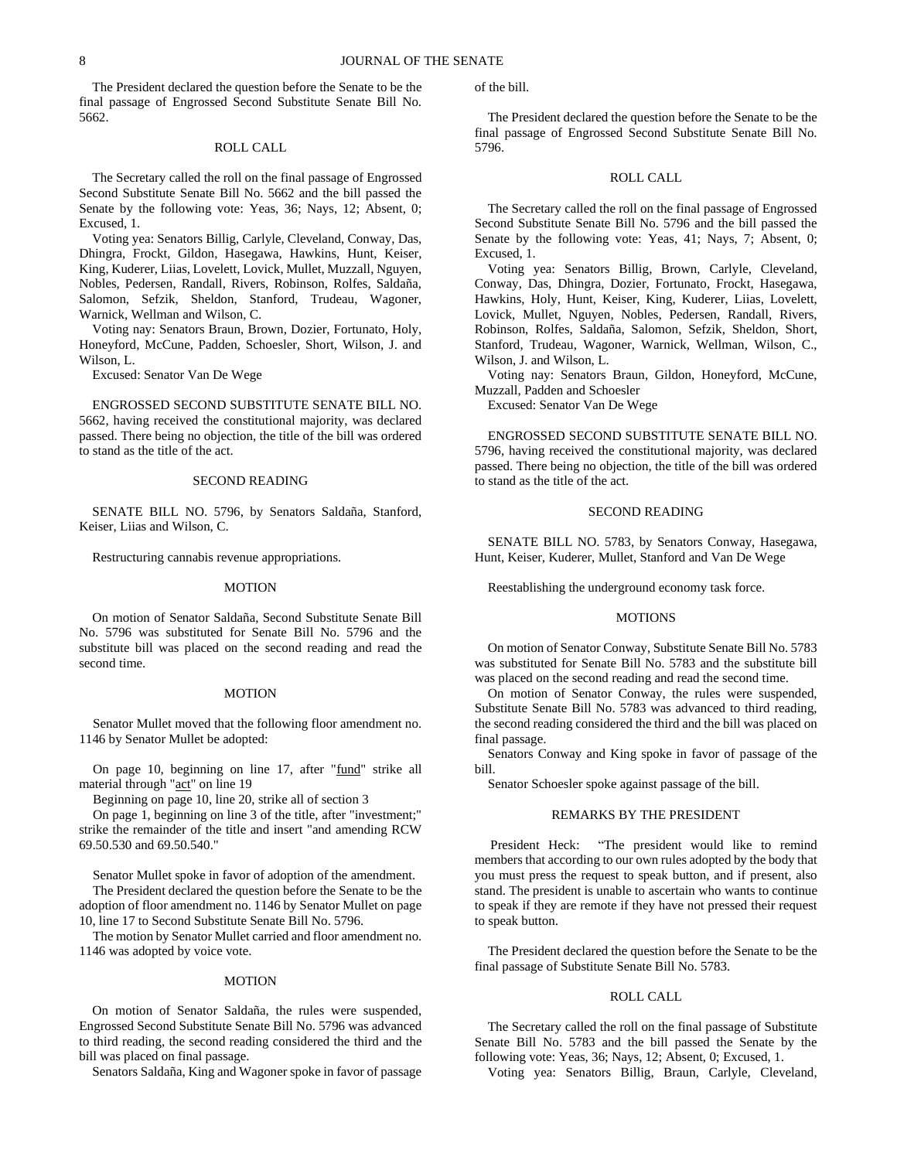The President declared the question before the Senate to be the final passage of Engrossed Second Substitute Senate Bill No. 5662.

### ROLL CALL

The Secretary called the roll on the final passage of Engrossed Second Substitute Senate Bill No. 5662 and the bill passed the Senate by the following vote: Yeas, 36; Nays, 12; Absent, 0; Excused, 1.

Voting yea: Senators Billig, Carlyle, Cleveland, Conway, Das, Dhingra, Frockt, Gildon, Hasegawa, Hawkins, Hunt, Keiser, King, Kuderer, Liias, Lovelett, Lovick, Mullet, Muzzall, Nguyen, Nobles, Pedersen, Randall, Rivers, Robinson, Rolfes, Saldaña, Salomon, Sefzik, Sheldon, Stanford, Trudeau, Wagoner, Warnick, Wellman and Wilson, C.

Voting nay: Senators Braun, Brown, Dozier, Fortunato, Holy, Honeyford, McCune, Padden, Schoesler, Short, Wilson, J. and Wilson, L.

Excused: Senator Van De Wege

ENGROSSED SECOND SUBSTITUTE SENATE BILL NO. 5662, having received the constitutional majority, was declared passed. There being no objection, the title of the bill was ordered to stand as the title of the act.

## SECOND READING

SENATE BILL NO. 5796, by Senators Saldaña, Stanford, Keiser, Liias and Wilson, C.

Restructuring cannabis revenue appropriations.

#### MOTION

On motion of Senator Saldaña, Second Substitute Senate Bill No. 5796 was substituted for Senate Bill No. 5796 and the substitute bill was placed on the second reading and read the second time.

#### MOTION

Senator Mullet moved that the following floor amendment no. 1146 by Senator Mullet be adopted:

On page 10, beginning on line 17, after "fund" strike all material through "act" on line 19

Beginning on page 10, line 20, strike all of section 3

On page 1, beginning on line 3 of the title, after "investment;" strike the remainder of the title and insert "and amending RCW 69.50.530 and 69.50.540."

Senator Mullet spoke in favor of adoption of the amendment. The President declared the question before the Senate to be the adoption of floor amendment no. 1146 by Senator Mullet on page 10, line 17 to Second Substitute Senate Bill No. 5796.

The motion by Senator Mullet carried and floor amendment no. 1146 was adopted by voice vote.

#### MOTION

On motion of Senator Saldaña, the rules were suspended, Engrossed Second Substitute Senate Bill No. 5796 was advanced to third reading, the second reading considered the third and the bill was placed on final passage.

Senators Saldaña, King and Wagoner spoke in favor of passage

of the bill.

The President declared the question before the Senate to be the final passage of Engrossed Second Substitute Senate Bill No. 5796.

## ROLL CALL

The Secretary called the roll on the final passage of Engrossed Second Substitute Senate Bill No. 5796 and the bill passed the Senate by the following vote: Yeas, 41; Nays, 7; Absent, 0; Excused, 1.

Voting yea: Senators Billig, Brown, Carlyle, Cleveland, Conway, Das, Dhingra, Dozier, Fortunato, Frockt, Hasegawa, Hawkins, Holy, Hunt, Keiser, King, Kuderer, Liias, Lovelett, Lovick, Mullet, Nguyen, Nobles, Pedersen, Randall, Rivers, Robinson, Rolfes, Saldaña, Salomon, Sefzik, Sheldon, Short, Stanford, Trudeau, Wagoner, Warnick, Wellman, Wilson, C., Wilson, J. and Wilson, L.

Voting nay: Senators Braun, Gildon, Honeyford, McCune, Muzzall, Padden and Schoesler

Excused: Senator Van De Wege

ENGROSSED SECOND SUBSTITUTE SENATE BILL NO. 5796, having received the constitutional majority, was declared passed. There being no objection, the title of the bill was ordered to stand as the title of the act.

## SECOND READING

SENATE BILL NO. 5783, by Senators Conway, Hasegawa, Hunt, Keiser, Kuderer, Mullet, Stanford and Van De Wege

Reestablishing the underground economy task force.

#### MOTIONS

On motion of Senator Conway, Substitute Senate Bill No. 5783 was substituted for Senate Bill No. 5783 and the substitute bill was placed on the second reading and read the second time.

On motion of Senator Conway, the rules were suspended, Substitute Senate Bill No. 5783 was advanced to third reading, the second reading considered the third and the bill was placed on final passage.

Senators Conway and King spoke in favor of passage of the bill.

Senator Schoesler spoke against passage of the bill.

#### REMARKS BY THE PRESIDENT

President Heck: "The president would like to remind members that according to our own rules adopted by the body that you must press the request to speak button, and if present, also stand. The president is unable to ascertain who wants to continue to speak if they are remote if they have not pressed their request to speak button.

The President declared the question before the Senate to be the final passage of Substitute Senate Bill No. 5783.

### ROLL CALL

The Secretary called the roll on the final passage of Substitute Senate Bill No. 5783 and the bill passed the Senate by the following vote: Yeas, 36; Nays, 12; Absent, 0; Excused, 1.

Voting yea: Senators Billig, Braun, Carlyle, Cleveland,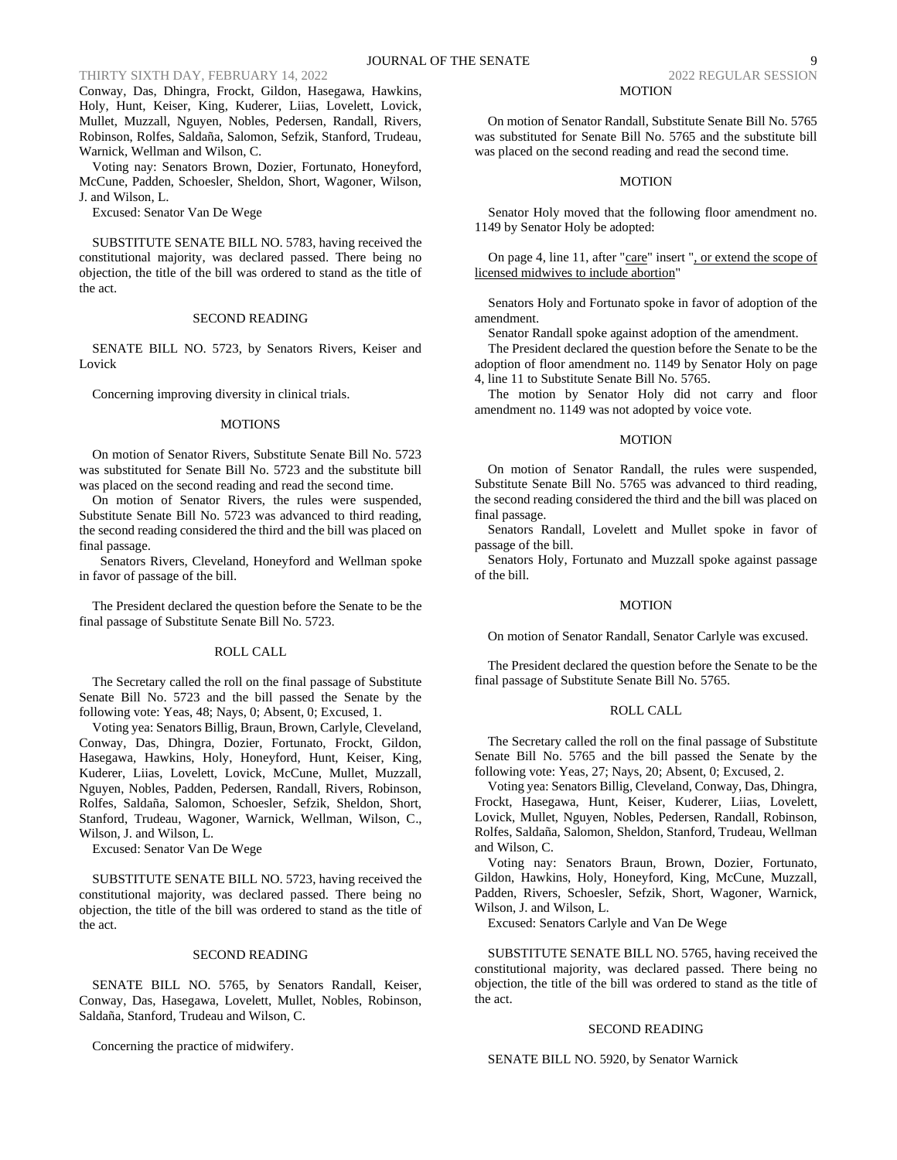Conway, Das, Dhingra, Frockt, Gildon, Hasegawa, Hawkins, Holy, Hunt, Keiser, King, Kuderer, Liias, Lovelett, Lovick, Mullet, Muzzall, Nguyen, Nobles, Pedersen, Randall, Rivers, Robinson, Rolfes, Saldaña, Salomon, Sefzik, Stanford, Trudeau, Warnick, Wellman and Wilson, C.

Voting nay: Senators Brown, Dozier, Fortunato, Honeyford, McCune, Padden, Schoesler, Sheldon, Short, Wagoner, Wilson, J. and Wilson, L.

Excused: Senator Van De Wege

SUBSTITUTE SENATE BILL NO. 5783, having received the constitutional majority, was declared passed. There being no objection, the title of the bill was ordered to stand as the title of the act.

## SECOND READING

SENATE BILL NO. 5723, by Senators Rivers, Keiser and Lovick

Concerning improving diversity in clinical trials.

#### **MOTIONS**

On motion of Senator Rivers, Substitute Senate Bill No. 5723 was substituted for Senate Bill No. 5723 and the substitute bill was placed on the second reading and read the second time.

On motion of Senator Rivers, the rules were suspended, Substitute Senate Bill No. 5723 was advanced to third reading, the second reading considered the third and the bill was placed on final passage.

Senators Rivers, Cleveland, Honeyford and Wellman spoke in favor of passage of the bill.

The President declared the question before the Senate to be the final passage of Substitute Senate Bill No. 5723.

### ROLL CALL

The Secretary called the roll on the final passage of Substitute Senate Bill No. 5723 and the bill passed the Senate by the following vote: Yeas, 48; Nays, 0; Absent, 0; Excused, 1.

Voting yea: Senators Billig, Braun, Brown, Carlyle, Cleveland, Conway, Das, Dhingra, Dozier, Fortunato, Frockt, Gildon, Hasegawa, Hawkins, Holy, Honeyford, Hunt, Keiser, King, Kuderer, Liias, Lovelett, Lovick, McCune, Mullet, Muzzall, Nguyen, Nobles, Padden, Pedersen, Randall, Rivers, Robinson, Rolfes, Saldaña, Salomon, Schoesler, Sefzik, Sheldon, Short, Stanford, Trudeau, Wagoner, Warnick, Wellman, Wilson, C., Wilson, J. and Wilson, L.

Excused: Senator Van De Wege

SUBSTITUTE SENATE BILL NO. 5723, having received the constitutional majority, was declared passed. There being no objection, the title of the bill was ordered to stand as the title of the act.

#### SECOND READING

SENATE BILL NO. 5765, by Senators Randall, Keiser, Conway, Das, Hasegawa, Lovelett, Mullet, Nobles, Robinson, Saldaña, Stanford, Trudeau and Wilson, C.

Concerning the practice of midwifery.

#### MOTION

On motion of Senator Randall, Substitute Senate Bill No. 5765 was substituted for Senate Bill No. 5765 and the substitute bill was placed on the second reading and read the second time.

### MOTION

Senator Holy moved that the following floor amendment no. 1149 by Senator Holy be adopted:

On page 4, line 11, after "care" insert ", or extend the scope of licensed midwives to include abortion"

Senators Holy and Fortunato spoke in favor of adoption of the amendment.

Senator Randall spoke against adoption of the amendment.

The President declared the question before the Senate to be the adoption of floor amendment no. 1149 by Senator Holy on page 4, line 11 to Substitute Senate Bill No. 5765.

The motion by Senator Holy did not carry and floor amendment no. 1149 was not adopted by voice vote.

#### MOTION

On motion of Senator Randall, the rules were suspended, Substitute Senate Bill No. 5765 was advanced to third reading, the second reading considered the third and the bill was placed on final passage.

Senators Randall, Lovelett and Mullet spoke in favor of passage of the bill.

Senators Holy, Fortunato and Muzzall spoke against passage of the bill.

## MOTION

On motion of Senator Randall, Senator Carlyle was excused.

The President declared the question before the Senate to be the final passage of Substitute Senate Bill No. 5765.

#### ROLL CALL

The Secretary called the roll on the final passage of Substitute Senate Bill No. 5765 and the bill passed the Senate by the following vote: Yeas, 27; Nays, 20; Absent, 0; Excused, 2.

Voting yea: Senators Billig, Cleveland, Conway, Das, Dhingra, Frockt, Hasegawa, Hunt, Keiser, Kuderer, Liias, Lovelett, Lovick, Mullet, Nguyen, Nobles, Pedersen, Randall, Robinson, Rolfes, Saldaña, Salomon, Sheldon, Stanford, Trudeau, Wellman and Wilson, C.

Voting nay: Senators Braun, Brown, Dozier, Fortunato, Gildon, Hawkins, Holy, Honeyford, King, McCune, Muzzall, Padden, Rivers, Schoesler, Sefzik, Short, Wagoner, Warnick, Wilson, J. and Wilson, L.

Excused: Senators Carlyle and Van De Wege

SUBSTITUTE SENATE BILL NO. 5765, having received the constitutional majority, was declared passed. There being no objection, the title of the bill was ordered to stand as the title of the act.

### SECOND READING

SENATE BILL NO. 5920, by Senator Warnick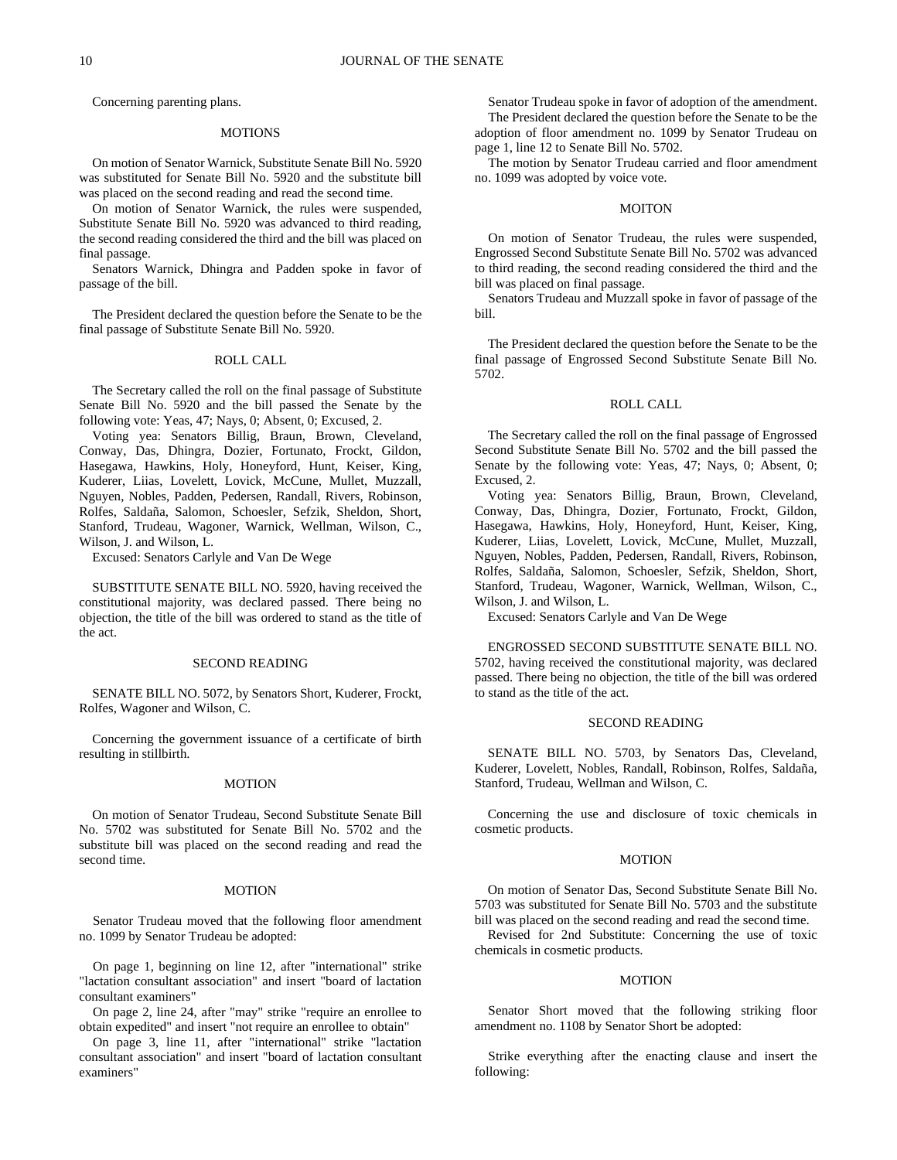Concerning parenting plans.

### **MOTIONS**

On motion of Senator Warnick, Substitute Senate Bill No. 5920 was substituted for Senate Bill No. 5920 and the substitute bill was placed on the second reading and read the second time.

On motion of Senator Warnick, the rules were suspended, Substitute Senate Bill No. 5920 was advanced to third reading, the second reading considered the third and the bill was placed on final passage.

Senators Warnick, Dhingra and Padden spoke in favor of passage of the bill.

The President declared the question before the Senate to be the final passage of Substitute Senate Bill No. 5920.

## ROLL CALL

The Secretary called the roll on the final passage of Substitute Senate Bill No. 5920 and the bill passed the Senate by the following vote: Yeas, 47; Nays, 0; Absent, 0; Excused, 2.

Voting yea: Senators Billig, Braun, Brown, Cleveland, Conway, Das, Dhingra, Dozier, Fortunato, Frockt, Gildon, Hasegawa, Hawkins, Holy, Honeyford, Hunt, Keiser, King, Kuderer, Liias, Lovelett, Lovick, McCune, Mullet, Muzzall, Nguyen, Nobles, Padden, Pedersen, Randall, Rivers, Robinson, Rolfes, Saldaña, Salomon, Schoesler, Sefzik, Sheldon, Short, Stanford, Trudeau, Wagoner, Warnick, Wellman, Wilson, C., Wilson, J. and Wilson, L.

Excused: Senators Carlyle and Van De Wege

SUBSTITUTE SENATE BILL NO. 5920, having received the constitutional majority, was declared passed. There being no objection, the title of the bill was ordered to stand as the title of the act.

### SECOND READING

SENATE BILL NO. 5072, by Senators Short, Kuderer, Frockt, Rolfes, Wagoner and Wilson, C.

Concerning the government issuance of a certificate of birth resulting in stillbirth.

#### MOTION

On motion of Senator Trudeau, Second Substitute Senate Bill No. 5702 was substituted for Senate Bill No. 5702 and the substitute bill was placed on the second reading and read the second time.

#### MOTION

Senator Trudeau moved that the following floor amendment no. 1099 by Senator Trudeau be adopted:

On page 1, beginning on line 12, after "international" strike "lactation consultant association" and insert "board of lactation consultant examiners"

On page 2, line 24, after "may" strike "require an enrollee to obtain expedited" and insert "not require an enrollee to obtain"

On page 3, line 11, after "international" strike "lactation consultant association" and insert "board of lactation consultant examiners"

Senator Trudeau spoke in favor of adoption of the amendment. The President declared the question before the Senate to be the adoption of floor amendment no. 1099 by Senator Trudeau on page 1, line 12 to Senate Bill No. 5702.

The motion by Senator Trudeau carried and floor amendment no. 1099 was adopted by voice vote.

#### MOITON

On motion of Senator Trudeau, the rules were suspended, Engrossed Second Substitute Senate Bill No. 5702 was advanced to third reading, the second reading considered the third and the bill was placed on final passage.

Senators Trudeau and Muzzall spoke in favor of passage of the bill.

The President declared the question before the Senate to be the final passage of Engrossed Second Substitute Senate Bill No. 5702.

## ROLL CALL

The Secretary called the roll on the final passage of Engrossed Second Substitute Senate Bill No. 5702 and the bill passed the Senate by the following vote: Yeas, 47; Nays, 0; Absent, 0; Excused, 2.

Voting yea: Senators Billig, Braun, Brown, Cleveland, Conway, Das, Dhingra, Dozier, Fortunato, Frockt, Gildon, Hasegawa, Hawkins, Holy, Honeyford, Hunt, Keiser, King, Kuderer, Liias, Lovelett, Lovick, McCune, Mullet, Muzzall, Nguyen, Nobles, Padden, Pedersen, Randall, Rivers, Robinson, Rolfes, Saldaña, Salomon, Schoesler, Sefzik, Sheldon, Short, Stanford, Trudeau, Wagoner, Warnick, Wellman, Wilson, C., Wilson, J. and Wilson, L.

Excused: Senators Carlyle and Van De Wege

ENGROSSED SECOND SUBSTITUTE SENATE BILL NO. 5702, having received the constitutional majority, was declared passed. There being no objection, the title of the bill was ordered to stand as the title of the act.

### SECOND READING

SENATE BILL NO. 5703, by Senators Das, Cleveland, Kuderer, Lovelett, Nobles, Randall, Robinson, Rolfes, Saldaña, Stanford, Trudeau, Wellman and Wilson, C.

Concerning the use and disclosure of toxic chemicals in cosmetic products.

#### **MOTION**

On motion of Senator Das, Second Substitute Senate Bill No. 5703 was substituted for Senate Bill No. 5703 and the substitute bill was placed on the second reading and read the second time.

Revised for 2nd Substitute: Concerning the use of toxic chemicals in cosmetic products.

#### MOTION

Senator Short moved that the following striking floor amendment no. 1108 by Senator Short be adopted:

Strike everything after the enacting clause and insert the following: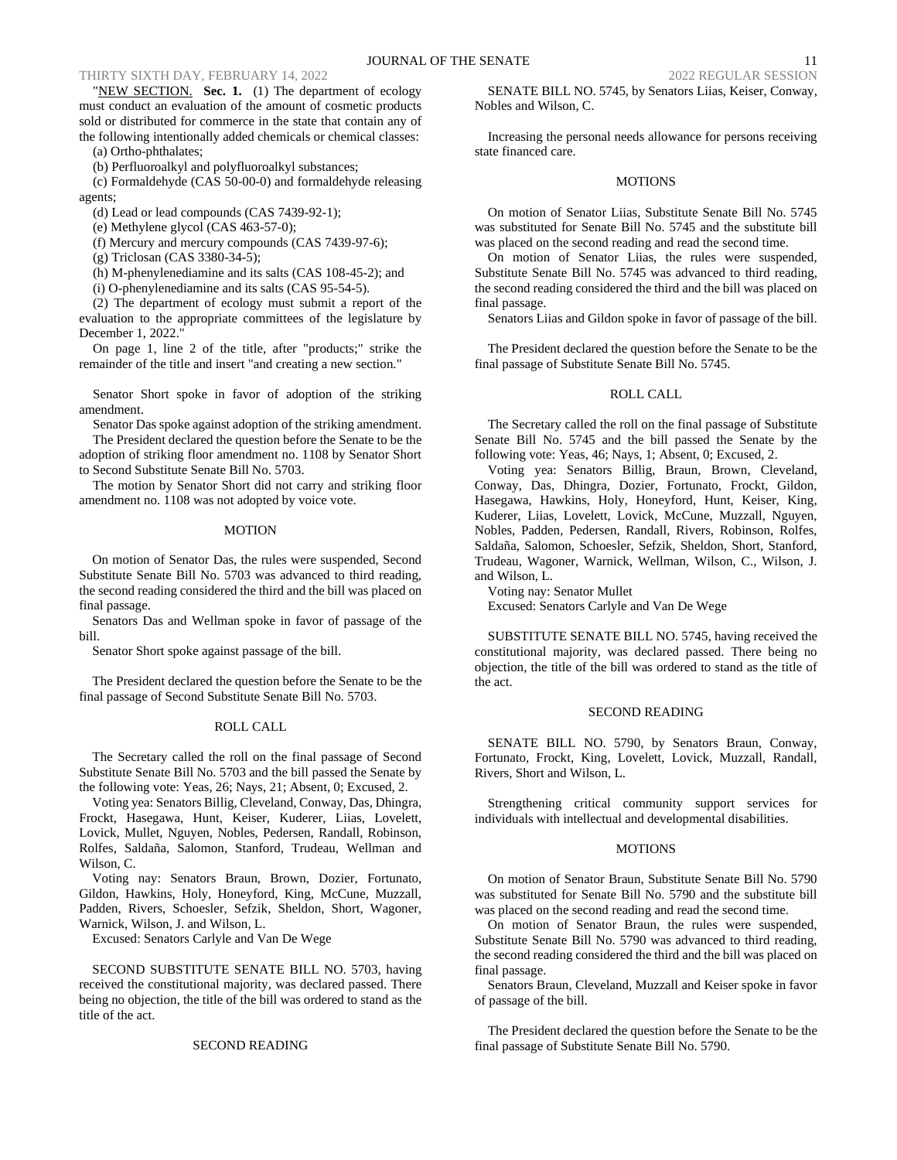"NEW SECTION. **Sec. 1.** (1) The department of ecology must conduct an evaluation of the amount of cosmetic products sold or distributed for commerce in the state that contain any of the following intentionally added chemicals or chemical classes:

(a) Ortho-phthalates;

(b) Perfluoroalkyl and polyfluoroalkyl substances;

(c) Formaldehyde (CAS 50-00-0) and formaldehyde releasing agents;

(d) Lead or lead compounds (CAS 7439-92-1);

(e) Methylene glycol (CAS 463-57-0);

(f) Mercury and mercury compounds (CAS 7439-97-6);

(g) Triclosan (CAS 3380-34-5);

(h) M-phenylenediamine and its salts (CAS 108-45-2); and

(i) O-phenylenediamine and its salts (CAS 95-54-5).

(2) The department of ecology must submit a report of the evaluation to the appropriate committees of the legislature by December 1, 2022."

On page 1, line 2 of the title, after "products;" strike the remainder of the title and insert "and creating a new section."

Senator Short spoke in favor of adoption of the striking amendment.

Senator Das spoke against adoption of the striking amendment.

The President declared the question before the Senate to be the adoption of striking floor amendment no. 1108 by Senator Short to Second Substitute Senate Bill No. 5703.

The motion by Senator Short did not carry and striking floor amendment no. 1108 was not adopted by voice vote.

#### MOTION

On motion of Senator Das, the rules were suspended, Second Substitute Senate Bill No. 5703 was advanced to third reading, the second reading considered the third and the bill was placed on final passage.

Senators Das and Wellman spoke in favor of passage of the bill.

Senator Short spoke against passage of the bill.

The President declared the question before the Senate to be the final passage of Second Substitute Senate Bill No. 5703.

#### ROLL CALL

The Secretary called the roll on the final passage of Second Substitute Senate Bill No. 5703 and the bill passed the Senate by the following vote: Yeas, 26; Nays, 21; Absent, 0; Excused, 2.

Voting yea: Senators Billig, Cleveland, Conway, Das, Dhingra, Frockt, Hasegawa, Hunt, Keiser, Kuderer, Liias, Lovelett, Lovick, Mullet, Nguyen, Nobles, Pedersen, Randall, Robinson, Rolfes, Saldaña, Salomon, Stanford, Trudeau, Wellman and Wilson, C.

Voting nay: Senators Braun, Brown, Dozier, Fortunato, Gildon, Hawkins, Holy, Honeyford, King, McCune, Muzzall, Padden, Rivers, Schoesler, Sefzik, Sheldon, Short, Wagoner, Warnick, Wilson, J. and Wilson, L.

Excused: Senators Carlyle and Van De Wege

SECOND SUBSTITUTE SENATE BILL NO. 5703, having received the constitutional majority, was declared passed. There being no objection, the title of the bill was ordered to stand as the title of the act.

#### SECOND READING

SENATE BILL NO. 5745, by Senators Liias, Keiser, Conway, Nobles and Wilson, C.

Increasing the personal needs allowance for persons receiving state financed care.

#### MOTIONS

On motion of Senator Liias, Substitute Senate Bill No. 5745 was substituted for Senate Bill No. 5745 and the substitute bill was placed on the second reading and read the second time.

On motion of Senator Liias, the rules were suspended, Substitute Senate Bill No. 5745 was advanced to third reading, the second reading considered the third and the bill was placed on final passage.

Senators Liias and Gildon spoke in favor of passage of the bill.

The President declared the question before the Senate to be the final passage of Substitute Senate Bill No. 5745.

## ROLL CALL

The Secretary called the roll on the final passage of Substitute Senate Bill No. 5745 and the bill passed the Senate by the following vote: Yeas, 46; Nays, 1; Absent, 0; Excused, 2.

Voting yea: Senators Billig, Braun, Brown, Cleveland, Conway, Das, Dhingra, Dozier, Fortunato, Frockt, Gildon, Hasegawa, Hawkins, Holy, Honeyford, Hunt, Keiser, King, Kuderer, Liias, Lovelett, Lovick, McCune, Muzzall, Nguyen, Nobles, Padden, Pedersen, Randall, Rivers, Robinson, Rolfes, Saldaña, Salomon, Schoesler, Sefzik, Sheldon, Short, Stanford, Trudeau, Wagoner, Warnick, Wellman, Wilson, C., Wilson, J. and Wilson, L.

Voting nay: Senator Mullet

Excused: Senators Carlyle and Van De Wege

SUBSTITUTE SENATE BILL NO. 5745, having received the constitutional majority, was declared passed. There being no objection, the title of the bill was ordered to stand as the title of the act.

## SECOND READING

SENATE BILL NO. 5790, by Senators Braun, Conway, Fortunato, Frockt, King, Lovelett, Lovick, Muzzall, Randall, Rivers, Short and Wilson, L.

Strengthening critical community support services for individuals with intellectual and developmental disabilities.

### **MOTIONS**

On motion of Senator Braun, Substitute Senate Bill No. 5790 was substituted for Senate Bill No. 5790 and the substitute bill was placed on the second reading and read the second time.

On motion of Senator Braun, the rules were suspended, Substitute Senate Bill No. 5790 was advanced to third reading, the second reading considered the third and the bill was placed on final passage.

Senators Braun, Cleveland, Muzzall and Keiser spoke in favor of passage of the bill.

The President declared the question before the Senate to be the final passage of Substitute Senate Bill No. 5790.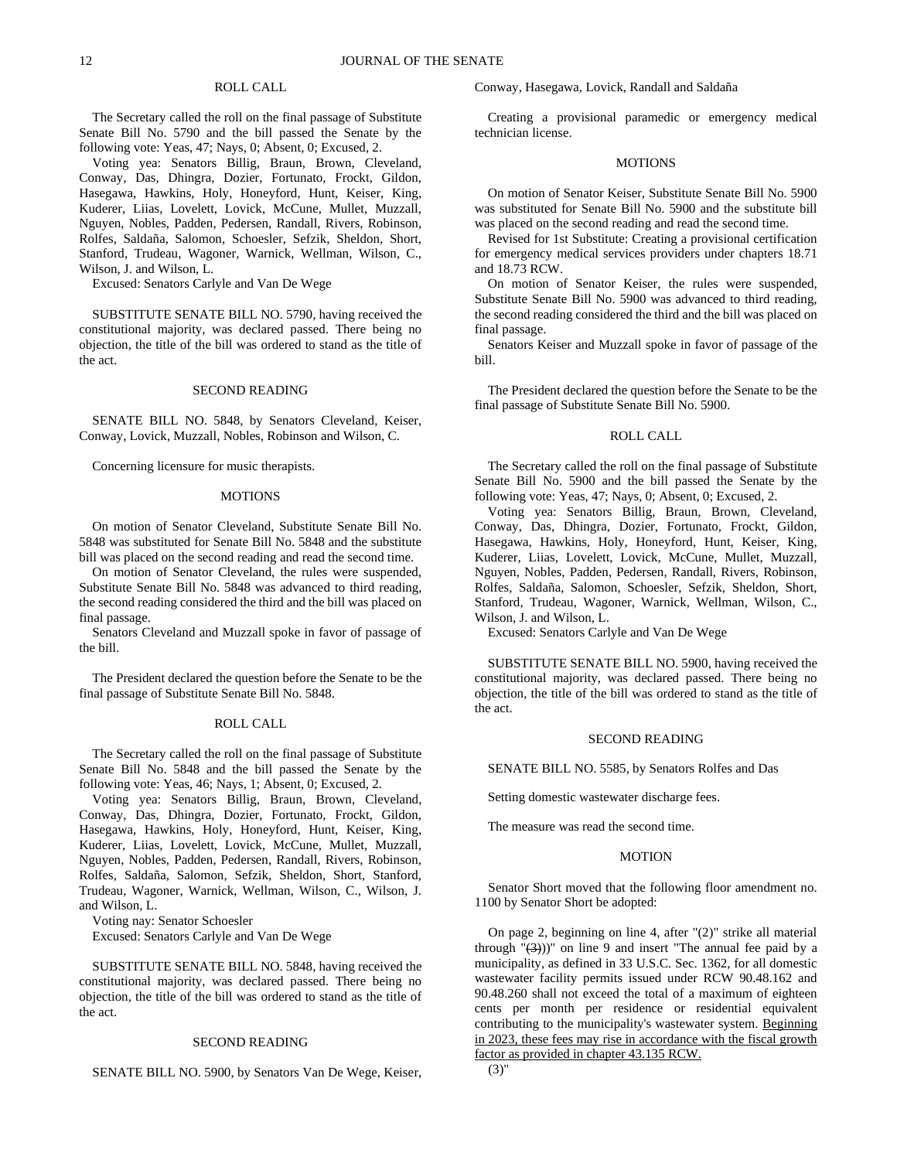## ROLL CALL

The Secretary called the roll on the final passage of Substitute Senate Bill No. 5790 and the bill passed the Senate by the following vote: Yeas, 47; Nays, 0; Absent, 0; Excused, 2.

Voting yea: Senators Billig, Braun, Brown, Cleveland, Conway, Das, Dhingra, Dozier, Fortunato, Frockt, Gildon, Hasegawa, Hawkins, Holy, Honeyford, Hunt, Keiser, King, Kuderer, Liias, Lovelett, Lovick, McCune, Mullet, Muzzall, Nguyen, Nobles, Padden, Pedersen, Randall, Rivers, Robinson, Rolfes, Saldaña, Salomon, Schoesler, Sefzik, Sheldon, Short, Stanford, Trudeau, Wagoner, Warnick, Wellman, Wilson, C., Wilson, J. and Wilson, L.

Excused: Senators Carlyle and Van De Wege

SUBSTITUTE SENATE BILL NO. 5790, having received the constitutional majority, was declared passed. There being no objection, the title of the bill was ordered to stand as the title of the act.

#### SECOND READING

SENATE BILL NO. 5848, by Senators Cleveland, Keiser, Conway, Lovick, Muzzall, Nobles, Robinson and Wilson, C.

Concerning licensure for music therapists.

#### MOTIONS

On motion of Senator Cleveland, Substitute Senate Bill No. 5848 was substituted for Senate Bill No. 5848 and the substitute bill was placed on the second reading and read the second time.

On motion of Senator Cleveland, the rules were suspended, Substitute Senate Bill No. 5848 was advanced to third reading, the second reading considered the third and the bill was placed on final passage.

Senators Cleveland and Muzzall spoke in favor of passage of the bill.

The President declared the question before the Senate to be the final passage of Substitute Senate Bill No. 5848.

## ROLL CALL

The Secretary called the roll on the final passage of Substitute Senate Bill No. 5848 and the bill passed the Senate by the following vote: Yeas, 46; Nays, 1; Absent, 0; Excused, 2.

Voting yea: Senators Billig, Braun, Brown, Cleveland, Conway, Das, Dhingra, Dozier, Fortunato, Frockt, Gildon, Hasegawa, Hawkins, Holy, Honeyford, Hunt, Keiser, King, Kuderer, Liias, Lovelett, Lovick, McCune, Mullet, Muzzall, Nguyen, Nobles, Padden, Pedersen, Randall, Rivers, Robinson, Rolfes, Saldaña, Salomon, Sefzik, Sheldon, Short, Stanford, Trudeau, Wagoner, Warnick, Wellman, Wilson, C., Wilson, J. and Wilson, L.

Voting nay: Senator Schoesler

Excused: Senators Carlyle and Van De Wege

SUBSTITUTE SENATE BILL NO. 5848, having received the constitutional majority, was declared passed. There being no objection, the title of the bill was ordered to stand as the title of the act.

#### SECOND READING

SENATE BILL NO. 5900, by Senators Van De Wege, Keiser,

Conway, Hasegawa, Lovick, Randall and Saldaña

Creating a provisional paramedic or emergency medical technician license.

### MOTIONS

On motion of Senator Keiser, Substitute Senate Bill No. 5900 was substituted for Senate Bill No. 5900 and the substitute bill was placed on the second reading and read the second time.

Revised for 1st Substitute: Creating a provisional certification for emergency medical services providers under chapters 18.71 and 18.73 RCW.

On motion of Senator Keiser, the rules were suspended, Substitute Senate Bill No. 5900 was advanced to third reading, the second reading considered the third and the bill was placed on final passage.

Senators Keiser and Muzzall spoke in favor of passage of the bill.

The President declared the question before the Senate to be the final passage of Substitute Senate Bill No. 5900.

### ROLL CALL

The Secretary called the roll on the final passage of Substitute Senate Bill No. 5900 and the bill passed the Senate by the following vote: Yeas, 47; Nays, 0; Absent, 0; Excused, 2.

Voting yea: Senators Billig, Braun, Brown, Cleveland, Conway, Das, Dhingra, Dozier, Fortunato, Frockt, Gildon, Hasegawa, Hawkins, Holy, Honeyford, Hunt, Keiser, King, Kuderer, Liias, Lovelett, Lovick, McCune, Mullet, Muzzall, Nguyen, Nobles, Padden, Pedersen, Randall, Rivers, Robinson, Rolfes, Saldaña, Salomon, Schoesler, Sefzik, Sheldon, Short, Stanford, Trudeau, Wagoner, Warnick, Wellman, Wilson, C., Wilson, J. and Wilson, L.

Excused: Senators Carlyle and Van De Wege

SUBSTITUTE SENATE BILL NO. 5900, having received the constitutional majority, was declared passed. There being no objection, the title of the bill was ordered to stand as the title of the act.

### SECOND READING

SENATE BILL NO. 5585, by Senators Rolfes and Das

Setting domestic wastewater discharge fees.

The measure was read the second time.

#### **MOTION**

Senator Short moved that the following floor amendment no. 1100 by Senator Short be adopted:

On page 2, beginning on line 4, after "(2)" strike all material through  $\sqrt{3}$ ))" on line 9 and insert "The annual fee paid by a municipality, as defined in 33 U.S.C. Sec. 1362, for all domestic wastewater facility permits issued under RCW 90.48.162 and 90.48.260 shall not exceed the total of a maximum of eighteen cents per month per residence or residential equivalent contributing to the municipality's wastewater system. Beginning in 2023, these fees may rise in accordance with the fiscal growth factor as provided in chapter 43.135 RCW.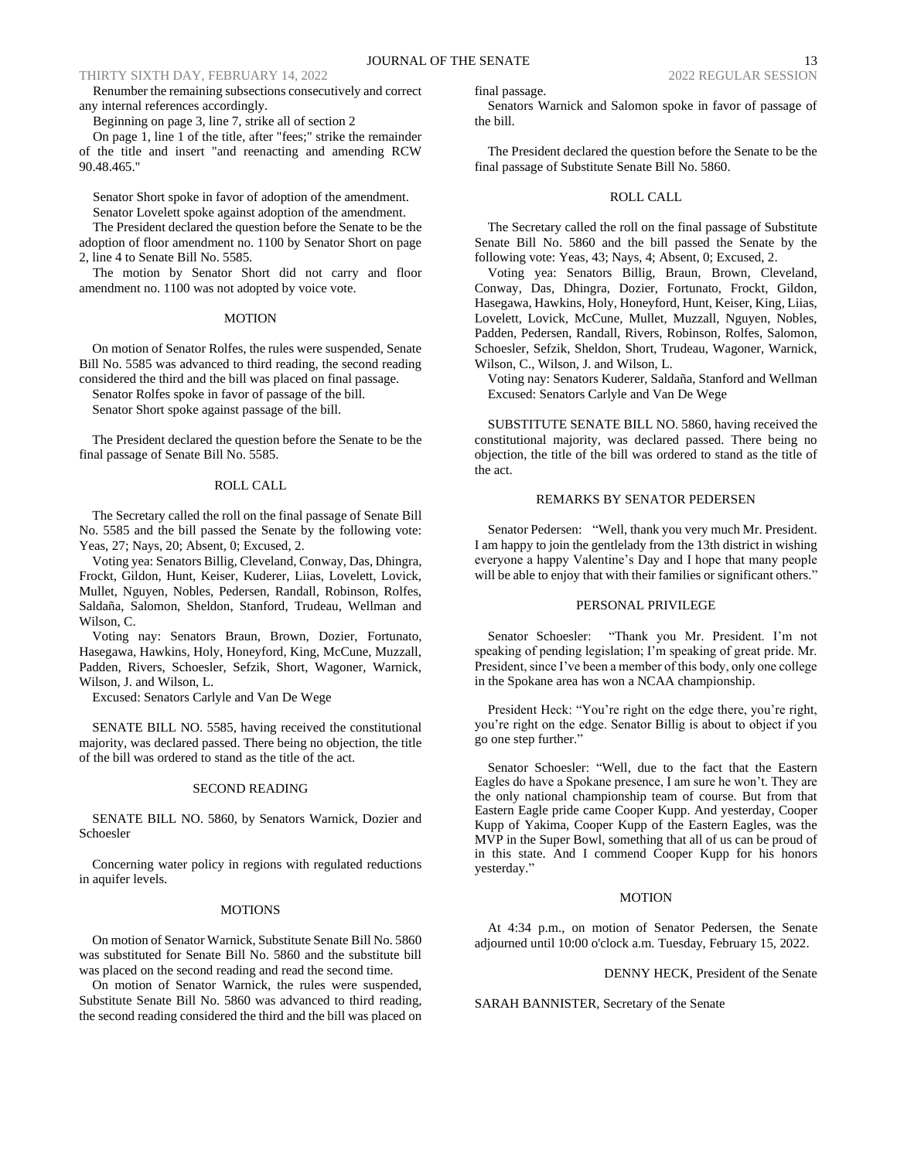Renumber the remaining subsections consecutively and correct any internal references accordingly.

Beginning on page 3, line 7, strike all of section 2

On page 1, line 1 of the title, after "fees;" strike the remainder of the title and insert "and reenacting and amending RCW 90.48.465."

Senator Short spoke in favor of adoption of the amendment.

Senator Lovelett spoke against adoption of the amendment. The President declared the question before the Senate to be the adoption of floor amendment no. 1100 by Senator Short on page 2, line 4 to Senate Bill No. 5585.

The motion by Senator Short did not carry and floor amendment no. 1100 was not adopted by voice vote.

### MOTION

On motion of Senator Rolfes, the rules were suspended, Senate Bill No. 5585 was advanced to third reading, the second reading considered the third and the bill was placed on final passage.

Senator Rolfes spoke in favor of passage of the bill. Senator Short spoke against passage of the bill.

The President declared the question before the Senate to be the final passage of Senate Bill No. 5585.

### ROLL CALL

The Secretary called the roll on the final passage of Senate Bill No. 5585 and the bill passed the Senate by the following vote: Yeas, 27; Nays, 20; Absent, 0; Excused, 2.

Voting yea: Senators Billig, Cleveland, Conway, Das, Dhingra, Frockt, Gildon, Hunt, Keiser, Kuderer, Liias, Lovelett, Lovick, Mullet, Nguyen, Nobles, Pedersen, Randall, Robinson, Rolfes, Saldaña, Salomon, Sheldon, Stanford, Trudeau, Wellman and Wilson, C.

Voting nay: Senators Braun, Brown, Dozier, Fortunato, Hasegawa, Hawkins, Holy, Honeyford, King, McCune, Muzzall, Padden, Rivers, Schoesler, Sefzik, Short, Wagoner, Warnick, Wilson, J. and Wilson, L.

Excused: Senators Carlyle and Van De Wege

SENATE BILL NO. 5585, having received the constitutional majority, was declared passed. There being no objection, the title of the bill was ordered to stand as the title of the act.

### SECOND READING

SENATE BILL NO. 5860, by Senators Warnick, Dozier and Schoesler

Concerning water policy in regions with regulated reductions in aquifer levels.

#### **MOTIONS**

On motion of Senator Warnick, Substitute Senate Bill No. 5860 was substituted for Senate Bill No. 5860 and the substitute bill was placed on the second reading and read the second time.

On motion of Senator Warnick, the rules were suspended, Substitute Senate Bill No. 5860 was advanced to third reading, the second reading considered the third and the bill was placed on final passage.

Senators Warnick and Salomon spoke in favor of passage of the bill.

The President declared the question before the Senate to be the final passage of Substitute Senate Bill No. 5860.

#### ROLL CALL

The Secretary called the roll on the final passage of Substitute Senate Bill No. 5860 and the bill passed the Senate by the following vote: Yeas, 43; Nays, 4; Absent, 0; Excused, 2.

Voting yea: Senators Billig, Braun, Brown, Cleveland, Conway, Das, Dhingra, Dozier, Fortunato, Frockt, Gildon, Hasegawa, Hawkins, Holy, Honeyford, Hunt, Keiser, King, Liias, Lovelett, Lovick, McCune, Mullet, Muzzall, Nguyen, Nobles, Padden, Pedersen, Randall, Rivers, Robinson, Rolfes, Salomon, Schoesler, Sefzik, Sheldon, Short, Trudeau, Wagoner, Warnick, Wilson, C., Wilson, J. and Wilson, L.

Voting nay: Senators Kuderer, Saldaña, Stanford and Wellman Excused: Senators Carlyle and Van De Wege

SUBSTITUTE SENATE BILL NO. 5860, having received the constitutional majority, was declared passed. There being no objection, the title of the bill was ordered to stand as the title of the act.

## REMARKS BY SENATOR PEDERSEN

Senator Pedersen: "Well, thank you very much Mr. President. I am happy to join the gentlelady from the 13th district in wishing everyone a happy Valentine's Day and I hope that many people will be able to enjoy that with their families or significant others."

## PERSONAL PRIVILEGE

Senator Schoesler: "Thank you Mr. President. I'm not speaking of pending legislation; I'm speaking of great pride. Mr. President, since I've been a member of this body, only one college in the Spokane area has won a NCAA championship.

President Heck: "You're right on the edge there, you're right, you're right on the edge. Senator Billig is about to object if you go one step further."

Senator Schoesler: "Well, due to the fact that the Eastern Eagles do have a Spokane presence, I am sure he won't. They are the only national championship team of course. But from that Eastern Eagle pride came Cooper Kupp. And yesterday, Cooper Kupp of Yakima, Cooper Kupp of the Eastern Eagles, was the MVP in the Super Bowl, something that all of us can be proud of in this state. And I commend Cooper Kupp for his honors yesterday."

#### **MOTION**

At 4:34 p.m., on motion of Senator Pedersen, the Senate adjourned until 10:00 o'clock a.m. Tuesday, February 15, 2022.

#### DENNY HECK, President of the Senate

SARAH BANNISTER, Secretary of the Senate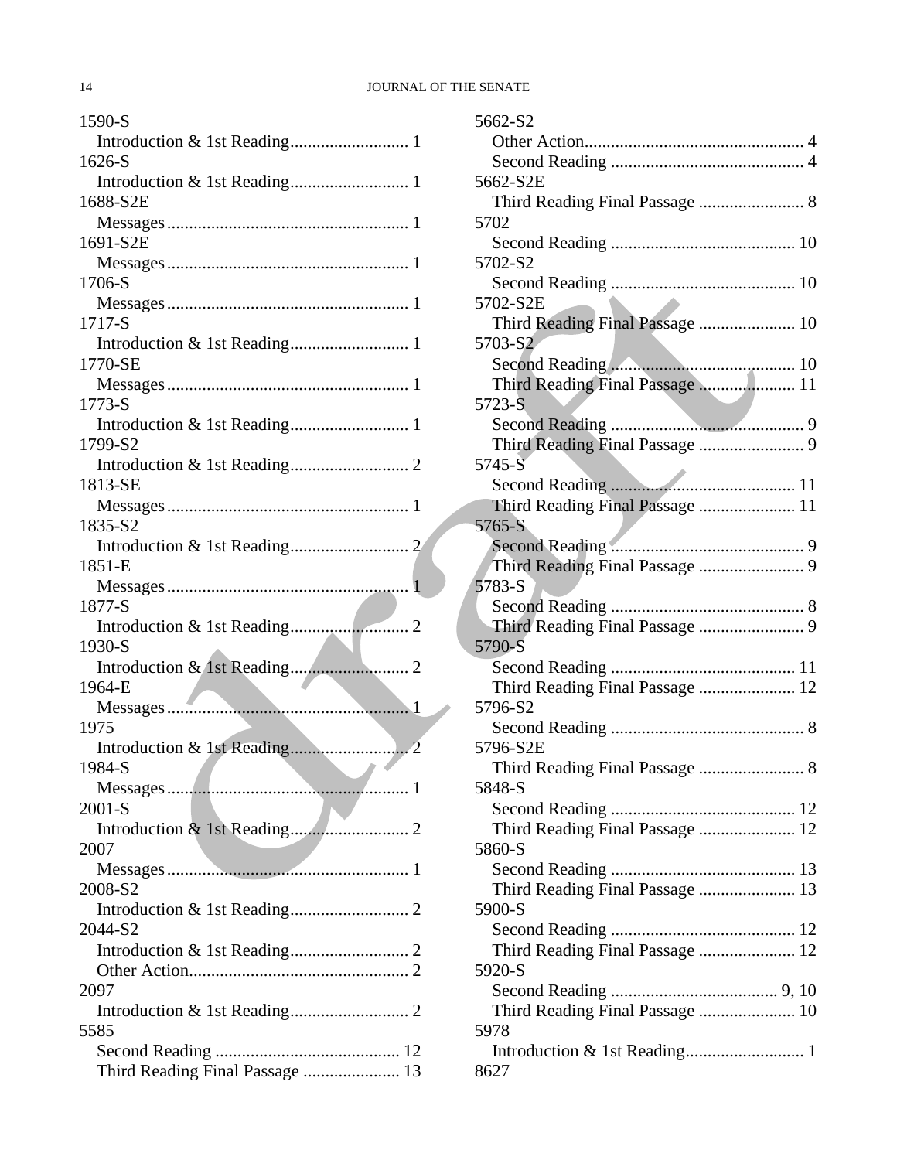| 1590-S                          |
|---------------------------------|
|                                 |
| 1626-S                          |
|                                 |
| 1688-S2E                        |
|                                 |
| 1691-S2E                        |
|                                 |
| 1706-S                          |
| 1717-S                          |
|                                 |
| 1770-SE                         |
|                                 |
| 1773-S                          |
|                                 |
| 1799-S2                         |
|                                 |
| 1813-SE                         |
|                                 |
| 1835-S2                         |
|                                 |
| 1851-E                          |
| 1877-S                          |
|                                 |
| 1930-S                          |
|                                 |
| 1964-E                          |
|                                 |
| 1975                            |
|                                 |
| 1984-S                          |
|                                 |
| $2001-S$                        |
| 2007                            |
|                                 |
| 2008-S2                         |
|                                 |
| 2044-S2                         |
|                                 |
|                                 |
| 2097                            |
|                                 |
| 5585                            |
|                                 |
| Third Reading Final Passage  13 |

| 5662-S2                                   |  |
|-------------------------------------------|--|
|                                           |  |
|                                           |  |
| 5662-S2E                                  |  |
|                                           |  |
| 5702                                      |  |
|                                           |  |
| 5702-S2                                   |  |
|                                           |  |
| 5702-S2E                                  |  |
| Third Reading Final Passage  10           |  |
| 5703-S2                                   |  |
|                                           |  |
| Third Reading Final Passage  11           |  |
| 5723-S                                    |  |
|                                           |  |
|                                           |  |
| 5745-S                                    |  |
|                                           |  |
|                                           |  |
| Third Reading Final Passage  11<br>5765-S |  |
|                                           |  |
|                                           |  |
| Third Reading Final Passage  9            |  |
| 5783-S                                    |  |
|                                           |  |
|                                           |  |
| 5790-S                                    |  |
|                                           |  |
| Third Reading Final Passage  12           |  |
| 5796-S2                                   |  |
|                                           |  |
| 5796-S2E                                  |  |
|                                           |  |
| 5848-S                                    |  |
|                                           |  |
| Third Reading Final Passage  12           |  |
| 5860-S                                    |  |
|                                           |  |
| Third Reading Final Passage  13           |  |
| 5900-S                                    |  |
|                                           |  |
| Third Reading Final Passage  12           |  |
| 5920-S                                    |  |
|                                           |  |
| Third Reading Final Passage  10           |  |
| 5978                                      |  |
|                                           |  |
|                                           |  |
| 8627                                      |  |